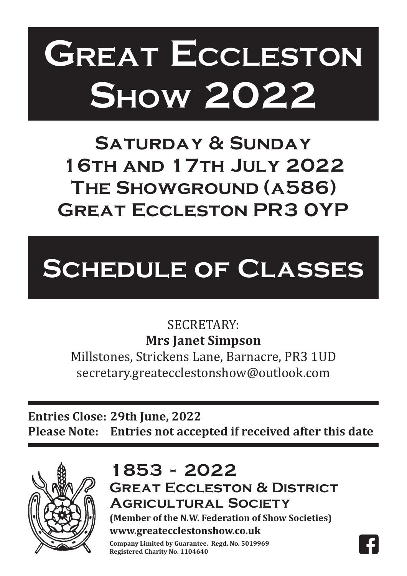# **Great Eccleston Great Eccleston Show 2007 Show 2022**

**Saturday & Sunday Saturday & Sunday 16th and 17th July 2022 14th and 15th July, 2007 The Showground (a586) Great Eccleston PR3 0YP EAT FOCLESTON PR3 0 great extendions** 

# **Schedule of Classes Schedule of Classes**

# SECRETARY: **Mrs Janet Simpson**

Millstones, Strickens Lane, Barnacre, PR3 1UD secretary.greatecclestonshow@outlook.com

**ENTRIES CLOSE: 30th June, 2007 Entries Close: 29th June, 2022 PLEASE NOTE: Entries not accepted if received after this date Please Note: Entries not accepted if received after this date**



# 1853 - 2022

**Great Eccleston & District Great Eccleston & District Agricultural Society Agricultural Society**

**(Member of the N.W. Federation of Show Societies) (Member of the N.W. Federation of Show Societies) www.greatecclestonshow.co.uk**

**Company Limited by Guarantee. Regd. No. 5019969 Registered Charity No. 1104640**

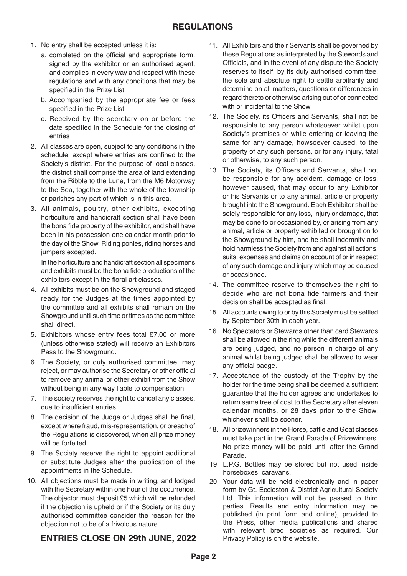- 1. No entry shall be accepted unless it is:
	- a. completed on the official and appropriate form, signed by the exhibitor or an authorised agent, and complies in every way and respect with these regulations and with any conditions that may be specified in the Prize List.
	- b. Accompanied by the appropriate fee or fees specified in the Prize List.
- c. Received by the secretary on or before the date specified in the Schedule for the closing of entries 2. All classes are open, subject to any conditions in the conditions in the conditions in the conditions in the conditions in the conditions in the conditions in the conditions in the conditions in the conditions in the co
- 2. All classes are open, subject to any conditions in the schedule, except where entries are confined to the Society's district. For the purpose of local classes, the district shall comprise the area of land extending from the Ribble to the Lune, from the M6 Motorway to the Sea, together with the whole of the township or parishes any part of which is in this area.
- 3. All animals, poultry, other exhibits, excepting horticulture and handicraft section shall have been the bona fide property of the exhibitor, and shall have been in his possession one calendar month prior to the day of the Show. Riding ponies, riding horses and jumpers excepted.

In the horticulture and handicraft section all specimens and exhibits must be the bona fide productions of the exhibitors except in the floral art classes.

- 4. All exhibits must be on the Showground and staged ready for the Judges at the times appointed by the committee and all exhibits shall remain on the Showground until such time or times as the committee shall direct.
- 5. Exhibitors whose entry fees total £7.00 or more (unless otherwise stated) will receive an Exhibitors Pass to the Showground.
- 6. The Society, or duly authorised committee, may reject, or may authorise the Secretary or other official to remove any animal or other exhibit from the Show without being in any way liable to compensation.
- 7. The society reserves the right to cancel any classes, due to insufficient entries.
- 8. The decision of the Judge or Judges shall be final, except where fraud, mis-representation, or breach of the Regulations is discovered, when all prize money will be forfeited.
- 9. The Society reserve the right to appoint additional or substitute Judges after the publication of the appointments in the Schedule.
- 10. All objections must be made in writing, and lodged with the Secretary within one hour of the occurrence. The objector must deposit £5 which will be refunded if the objection is upheld or if the Society or its duly authorised committee consider the reason for the objection not to be of a frivolous nature.

#### **ENTRIES CLOSE ON 29th JUNE, 2022** Privacy Policy is c **ENTRIES CLOSE ON 29th JUNE, 2022** Privacy Policy is on the website.

- 11. All Exhibitors and their Servants shall be governed by these Regulations as interpreted by the Stewards and Officials, and in the event of any dispute the Society reserves to itself, by its duly authorised committee, the sole and absolute right to settle arbitrarily and determine on all matters, questions or differences in regard thereto or otherwise arising out of or connected with or incidental to the Show.
- 12. The Society, its Officers and Servants, shall not be responsible to any person whatsoever whilst upon Society's premises or while entering or leaving the same for any damage, howsoever caused, to the property of any such persons, or for any injury, fatal or otherwise, to any such person.
- 13. The Society, its Officers and Servants, shall not be responsible for any accident, damage or loss, however caused, that may occur to any Exhibitor or his Servants or to any animal, article or property brought into the Showground. Each Exhibitor shall be solely responsible for any loss, injury or damage, that may be done to or occasioned by, or arising from any animal, article or property exhibited or brought on to the Showground by him, and he shall indemnify and hold harmless the Society from and against all actions, suits, expenses and claims on account of or in respect of any such damage and injury which may be caused or occasioned.
- 14. The committee reserve to themselves the right to decide who are not bona fide farmers and their decision shall be accepted as final.
- 15. All accounts owing to or by this Society must be settled by September 30th in each year.
- 16. No Spectators or Stewards other than card Stewards shall be allowed in the ring while the different animals are being judged, and no person in charge of any animal whilst being judged shall be allowed to wear any official badge.
- 17. Acceptance of the custody of the Trophy by the holder for the time being shall be deemed a sufficient guarantee that the holder agrees and undertakes to return same tree of cost to the Secretary after eleven calendar months, or 28 days prior to the Show, whichever shall be sooner.
- 18. All prizewinners in the Horse, cattle and Goat classes must take part in the Grand Parade of Prizewinners. No prize money will be paid until after the Grand No prize money will be paid until be paid until after the Grand until after the Grand until after the Grand until after the Grand until after the Grand until after the Grand until after the Grand until after the Grand unti Parade.
- 19. L.P.G. Bottles may be stored but not used inside horseboxes, caravans.
- do hatches.<br>
with relevant bred societies as required. Our 20. Your data will be held electronically and in paper form by Gt. Eccleston & District Agricultural Society Ltd. This information will not be passed to third parties. Results and entry information may be published (in print form and online), provided to the Press, other media publications and shared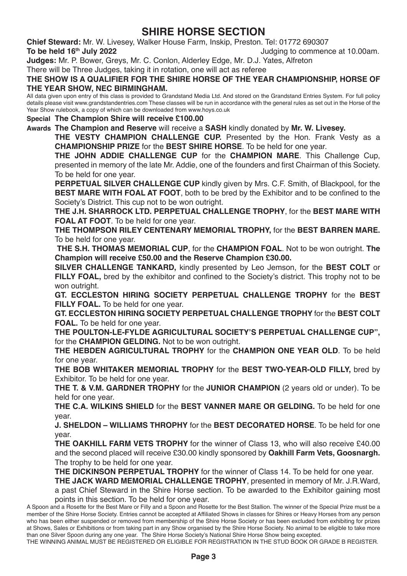# **SHIRE HORSE SECTION**

**Chief Steward:** Mr. W. Livesey, Walker House Farm, Inskip, Preston. Tel: 01772 690307 Judging to commence at 10.00am.

**Judges:** Mr. P. Bower, Greys, Mr. C. Conlon, Alderley Edge, Mr. D.J. Yates, Alfreton

There will be Three Judges, taking it in rotation, one will act as referee

#### **THE SHOW IS A QUALIFIER FOR THE SHIRE HORSE OF THE YEAR CHAMPIONSHIP, HORSE OF THE YEAR SHOW, NEC BIRMINGHAM.**

All data given upon entry of this class is provided to Grandstand Media Ltd. And stored on the Grandstand Entries System. For full policy details please visit www.grandstandentries.com These classes will be run in accordance with the general rules as set out in the Horse of the Year Show rulebook, a copy of which can be downloaded from www.hoys.co.uk

#### **Special The Champion Shire will receive £100.00**

**Awards The Champion and Reserve** will receive a **SASH** kindly donated by **Mr. W. Livesey.**

**THE VESTY CHAMPION CHALLENGE CUP.** Presented by the Hon. Frank Vesty as a **CHAMPIONSHIP PRIZE** for the **BEST SHIRE HORSE**. To be held for one year.

**THE JOHN ADDIE CHALLENGE CUP** for the **CHAMPION MARE**. This Challenge Cup, presented in memory of the late Mr. Addie, one of the founders and first Chairman of this Society. To be held for one year.

**PERPETUAL SILVER CHALLENGE CUP** kindly given by Mrs. C.F. Smith, of Blackpool, for the **BEST MARE WITH FOAL AT FOOT**, both to be bred by the Exhibitor and to be confined to the Society's District. This cup not to be won outright.

**THE J.H. SHARROCK LTD. PERPETUAL CHALLENGE TROPHY**, for the **BEST MARE WITH FOAL AT FOOT**. To be held for one year.

**THE THOMPSON RILEY CENTENARY MEMORIAL TROPHY,** for the **BEST BARREN MARE.**  To be held for one year.

 **THE S.H. THOMAS MEMORIAL CUP**, for the **CHAMPION FOAL**. Not to be won outright. **The Champion will receive £50.00 and the Reserve Champion £30.00.** 

**SILVER CHALLENGE TANKARD,** kindly presented by Leo Jemson, for the **BEST COLT** or **FILLY FOAL,** bred by the exhibitor and confined to the Society's district. This trophy not to be won outright.

**GT. ECCLESTON HIRING SOCIETY PERPETUAL CHALLENGE TROPHY** for the **BEST FILLY FOAL.** To be held for one year.

**GT. ECCLESTON HIRING SOCIETY PERPETUAL CHALLENGE TROPHY** for the **BEST COLT FOAL.** To be held for one year.

**THE POULTON-LE-FYLDE AGRICULTURAL SOCIETY'S PERPETUAL CHALLENGE CUP",**  for the **CHAMPION GELDING.** Not to be won outright.

**THE HEBDEN AGRICULTURAL TROPHY** for the **CHAMPION ONE YEAR OLD**. To be held for one year.

**THE BOB WHITAKER MEMORIAL TROPHY** for the **BEST TWO-YEAR-OLD FILLY,** bred by Exhibitor. To be held for one year.

**THE T. & V.M. GARDNER TROPHY** for the **JUNIOR CHAMPION** (2 years old or under). To be held for one year.

**THE C.A. WILKINS SHIELD** for the **BEST VANNER MARE OR GELDING.** To be held for one year.

**J. SHELDON – WILLIAMS THROPHY** for the **BEST DECORATED HORSE**. To be held for one year.

**THE OAKHILL FARM VETS TROPHY** for the winner of Class 13, who will also receive £40.00 and the second placed will receive £30.00 kindly sponsored by **Oakhill Farm Vets, Goosnargh.**  The trophy to be held for one year.

**THE DICKINSON PERPETUAL TROPHY** for the winner of Class 14. To be held for one year.

**THE JACK WARD MEMORIAL CHALLENGE TROPHY**, presented in memory of Mr. J.R.Ward, a past Chief Steward in the Shire Horse section. To be awarded to the Exhibitor gaining most

points in this section. To be held for one year.

THE WINNING ANIMAL MUST BE REGISTERED OR ELIGIBLE FOR REGISTRATION IN THE STUD BOOK OR GRADE B REGISTER.

A Spoon and a Rosette for the Best Mare or Filly and a Spoon and Rosette for the Best Stallion. The winner of the Special Prize must be a member of the Shire Horse Society. Entries cannot be accepted at Affiliated Shows in classes for Shires or Heavy Horses from any person who has been either suspended or removed from membership of the Shire Horse Society or has been excluded from exhibiting for prizes at Shows, Sales or Exhibitions or from taking part in any Show organised by the Shire Horse Society. No animal to be eligible to take more than one Silver Spoon during any one year. The Shire Horse Society's National Shire Horse Show being excepted.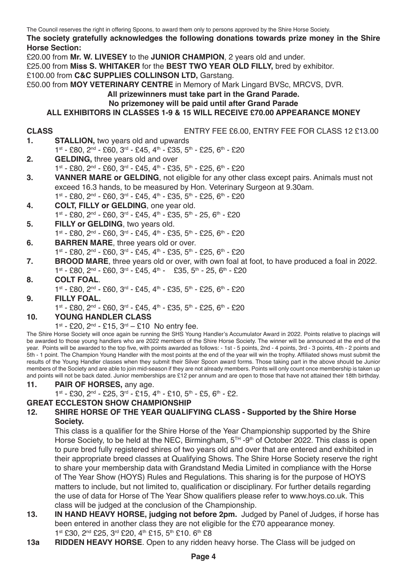#### **The society gratefully acknowledges the following donations towards prize money in the Shire Horse Section:**

£20.00 from **Mr. W. LIVESEY** to the **JUNIOR CHAMPION**, 2 years old and under.

£25.00 from **Miss S. WHITAKER** for the **BEST TWO YEAR OLD FILLY,** bred by exhibitor.

£100.00 from **C&C SUPPLIES COLLINSON LTD,** Garstang.

£50.00 from **MOY VETERINARY CENTRE** in Memory of Mark Lingard BVSc, MRCVS, DVR.

**All prizewinners must take part in the Grand Parade.**

#### **No prizemoney will be paid until after Grand Parade**

#### **ALL EXHIBITORS IN CLASSES 1-9 & 15 WILL RECEIVE £70.00 APPEARANCE MONEY**

**CLASS** ENTRY FEE £6.00, ENTRY FEE FOR CLASS 12 £13.00

- **STALLION, two years old and upwards** 1st - £80, 2nd - £60, 3rd - £45, 4th - £35, 5th - £25, 6th - £20
- **2. GELDING,** three years old and over 1st - £80, 2nd - £60, 3rd - £45, 4th - £35, 5th - £25, 6th - £20
- **3. VANNER MARE or GELDING**, not eligible for any other class except pairs. Animals must not exceed 16.3 hands, to be measured by Hon. Veterinary Surgeon at 9.30am.
	- $1^{st}$  £80,  $2^{nd}$  £60,  $3^{rd}$  £45,  $4^{th}$  £35,  $5^{th}$  £25,  $6^{th}$  £20
- **4. COLT, FILLY or GELDING**, one year old. 1st - £80, 2nd - £60, 3rd - £45, 4th - £35, 5th - 25, 6th - £20
- **5. FILLY or GELDING**, two years old. 1st - £80, 2nd - £60, 3rd - £45, 4th - £35, 5th - £25, 6th - £20
- **6. BARREN MARE**, three years old or over. 1st - £80, 2nd - £60, 3rd - £45, 4th - £35, 5th - £25, 6th - £20
- **7. BROOD MARE**, three years old or over, with own foal at foot, to have produced a foal in 2022. 1st - £80, 2nd - £60, 3rd - £45, 4th - £35, 5th - 25, 6th - £20

# **8. COLT FOAL**.

- 1st £80, 2nd £60, 3rd £45, 4th £35, 5th £25, 6th £20
- **9. FILLY FOAL.** 1st - £80, 2nd - £60, 3rd - £45, 4th - £35, 5th - £25, 6th - £20

#### **10. YOUNG HANDLER CLASS**

 $1^{st}$  - £20,  $2^{nd}$  - £15,  $3^{rd}$  - £10 No entry fee.

The Shire Horse Society will once again be running the SHS Young Handler's Accumulator Award in 2022. Points relative to placings will be awarded to those young handlers who are 2022 members of the Shire Horse Society. The winner will be announced at the end of the year. Points will be awarded to the top five, with points awarded as follows: - 1st - 5 points, 2nd - 4 points, 3rd - 3 points, 4th - 2 points and 5th - 1 point. The Champion Young Handler with the most points at the end of the year will win the trophy. Affiliated shows must submit the results of the Young Handler classes when they submit their Silver Spoon award forms. Those taking part in the above should be Junior members of the Society and are able to join mid-season if they are not already members. Points will only count once membership is taken up and points will not be back dated. Junior memberships are £12 per annum and are open to those that have not attained their 18th birthday.

- **11. PAIR OF HORSES,** any age.
	- 1st £30, 2nd £25, 3rd £15, 4th £10, 5th £5, 6th £2.

# **GREAT ECCLESTON SHOW CHAMPIONSHIP**

#### **12. SHIRE HORSE OF THE YEAR QUALIFYING CLASS - Supported by the Shire Horse Society.**

This class is a qualifier for the Shire Horse of the Year Championship supported by the Shire Horse Society, to be held at the NEC. Birmingham,  $5^{TH}$  -9<sup>th</sup> of October 2022. This class is open to pure bred fully registered shires of two years old and over that are entered and exhibited in their appropriate breed classes at Qualifying Shows. The Shire Horse Society reserve the right to share your membership data with Grandstand Media Limited in compliance with the Horse of The Year Show (HOYS) Rules and Regulations. This sharing is for the purpose of HOYS matters to include, but not limited to, qualification or disciplinary. For further details regarding the use of data for Horse of The Year Show qualifiers please refer to www.hoys.co.uk. This class will be judged at the conclusion of the Championship.

- **13. IN HAND HEAVY HORSE, judging not before 2pm.** Judged by Panel of Judges, if horse has been entered in another class they are not eligible for the £70 appearance money. 1st £30, 2nd £25, 3rd £20, 4th £15, 5th £10. 6th £8
- **13a RIDDEN HEAVY HORSE**. Open to any ridden heavy horse. The Class will be judged on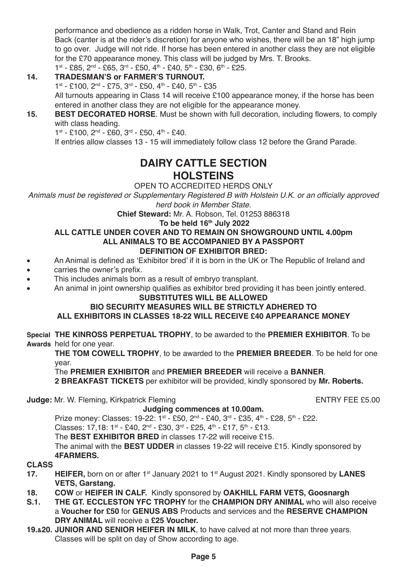performance and obedience as a ridden horse in Walk, Trot, Canter and Stand and Rein Back (canter is at the rider's discretion) for anyone who wishes, there will be an 18" high jump to go over. Judge will not ride. If horse has been entered in another class they are not eligible for the £70 appearance money. This class will be judged by Mrs. T. Brooks. 1st - £85, 2nd - £65, 3rd - £50, 4th - £40, 5th - £30, 6th - £25.

### **14. TRADESMAN'S or FARMER'S TURNOUT.**

1st - £100, 2nd - £75, 3rd - £50, 4th - £40, 5th - £35 All turnouts appearing in Class 14 will receive £100 appearance money, if the horse has been entered in another class they are not eligible for the appearance money.

**15. BEST DECORATED HORSE**. Must be shown with full decoration, including flowers, to comply with class heading.

 $1^{st}$  - £100,  $2^{nd}$  - £60,  $3^{rd}$  - £50,  $4^{th}$  - £40.

If entries allow classes 13 - 15 will immediately follow class 12 before the Grand Parade.

# **DAIRY CATTLE SECTION HOLSTEINS**

OPEN TO ACCREDITED HERDS ONLY

Animals must be registered or Supplementary Registered B with Holstein U.K. or an officially approved *herd book in Member State.*

**Chief Steward:** Mr. A. Robson, Tel. 01253 886318

**To be held 16th July 2022**

#### **ALL CATTLE UNDER COVER AND TO REMAIN ON SHOWGROUND UNTIL 4.00pm ALL ANIMALS TO BE ACCOMPANIED BY A PASSPORT DEFINITION OF EXHIBITOR BRED:**

- An Animal is defined as 'Exhibitor bred' if it is born in the UK or The Republic of Ireland and
- carries the owner's prefix.<br>• This includes animals horr
- This includes animals born as a result of embryo transplant.
- An animal in joint ownership qualifies as exhibitor bred providing it has been jointly entered.

### **SUBSTITUTES WILL BE ALLOWED**

### **BIO SECURITY MEASURES WILL BE STRICTLY ADHERED TO**

### **ALL EXHIBITORS IN CLASSES 18-22 WILL RECEIVE £40 APPEARANCE MONEY**

**Special THE KINROSS PERPETUAL TROPHY**, to be awarded to the **PREMIER EXHIBITOR**. To be **Awards** held for one year.

**THE TOM COWELL TROPHY**, to be awarded to the **PREMIER BREEDER**. To be held for one year.

### The **PREMIER EXHIBITOR** and **PREMIER BREEDER** will receive a **BANNER**.

**2 BREAKFAST TICKETS** per exhibitor will be provided, kindly sponsored by **Mr. Roberts.**

**Judge:** Mr. W. Fleming, Kirkpatrick Fleming ENTRY FEE £5.00

#### **Judging commences at 10.00am.**

Prize money: Classes:  $19-22 \cdot 1$ st - £50,  $2^{nd}$  - £40,  $3^{rd}$  - £35,  $4^{th}$  - £28,  $5^{th}$  - £22.

Classes:  $17,18:1^{st} - £40, 2^{nd} - £30, 3^{rd} - £25, 4^{th} - £17, 5^{th} - £13.$ 

The **BEST EXHIBITOR BRED** in classes 17-22 will receive £15.

The animal with the **BEST UDDER** in classes 19-22 will receive £15. Kindly sponsored by **4FARMERS.**

- **17. 17. 17. 17. HEIFER,** born on or after 1st January 2021 to 1st August 2021. Kindly sponsored by LANES **VETS, Garstang.**
- **18. COW** or **HEIFER IN CALF.** Kindly sponsored by **OAKHILL FARM VETS, Goosnargh**
- **S.1. THE GT. ECCLESTON YFC TROPHY** for the **CHAMPION DRY ANIMAL** who will also receive a **Voucher for £50** for **GENUS ABS** Products and services and the **RESERVE CHAMPION DRY ANIMAL** will receive a **£25 Voucher.**
- **19.&20. JUNIOR AND SENIOR HEIFER IN MILK**, to have calved at not more than three years. Classes will be split on day of Show according to age.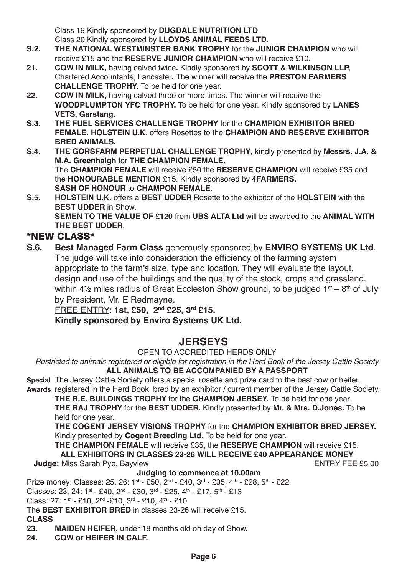Class 19 Kindly sponsored by **DUGDALE NUTRITION LTD**. Class 20 Kindly sponsored by **LLOYDS ANIMAL FEEDS LTD.**

- **S.2. THE NATIONAL WESTMINSTER BANK TROPHY** for the **JUNIOR CHAMPION** who will receive £15 and the **RESERVE JUNIOR CHAMPION** who will receive £10.
- **21. COW IN MILK,** having calved twice**.** Kindly sponsored by **SCOTT & WILKINSON LLP,** Chartered Accountants, Lancaster**.** The winner will receive the **PRESTON FARMERS CHALLENGE TROPHY.** To be held for one year.
- **22. COW IN MILK**, having calved three or more times. The winner will receive the **WOODPLUMPTON YFC TROPHY.** To be held for one year. Kindly sponsored by **LANES VETS, Garstang.**
- **S.3. THE FUEL SERVICES CHALLENGE TROPHY** for the **CHAMPION EXHIBITOR BRED FEMALE. HOLSTEIN U.K.** offers Rosettes to the **CHAMPION AND RESERVE EXHIBITOR BRED ANIMALS.**
- **S.4. THE GORSFARM PERPETUAL CHALLENGE TROPHY**, kindly presented by **Messrs. J.A. & M.A. Greenhalgh** for **THE CHAMPION FEMALE.** The **CHAMPION FEMALE** will receive £50 the **RESERVE CHAMPION** will receive £35 and the **HONOURABLE MENTION** £15. Kindly sponsored by **4FARMERS. SASH OF HONOUR** to **CHAMPON FEMALE.**
- **S.5. HOLSTEIN U.K.** offers a **BEST UDDER** Rosette to the exhibitor of the **HOLSTEIN** with the **BEST UDDER** in Show.  **SEMEN TO THE VALUE OF £120** from **UBS ALTA Ltd** will be awarded to the **ANIMAL WITH THE BEST UDDER**.

# \*NEW CLASS\*

**S.6. Best Managed Farm Class** generously sponsored by **ENVIRO SYSTEMS UK Ltd**. The judge will take into consideration the efficiency of the farming system appropriate to the farm's size, type and location. They will evaluate the layout, design and use of the buildings and the quality of the stock, crops and grassland. within 4 $\frac{1}{2}$  miles radius of Great Eccleston Show ground, to be judged  $1^{st} - 8^{th}$  of July by President, Mr. E Redmayne.

FREE ENTRY: **1st, £50, 2nd £25, 3rd £15.**

# **Kindly sponsored by Enviro Systems UK Ltd.**

# **JERSEYS**

OPEN TO ACCREDITED HERDS ONLY

Restricted to animals registered or eligible for registration in the Herd Book of the Jersey Cattle Society **ALL ANIMALS TO BE ACCOMPANIED BY A PASSPORT**

**Special** The Jersey Cattle Society offers a special rosette and prize card to the best cow or heifer, **Awards** registered in the Herd Book, bred by an exhibitor / current member of the Jersey Cattle Society.

**THE R.E. BUILDINGS TROPHY** for the **CHAMPION JERSEY.** To be held for one year.

**THE RAJ TROPHY** for the **BEST UDDER.** Kindly presented by **Mr. & Mrs. D.Jones.** To be held for one year.

**THE COGENT JERSEY VISIONS TROPHY** for the **CHAMPION EXHIBITOR BRED JERSEY.** Kindly presented by **Cogent Breeding Ltd.** To be held for one year.

**THE CHAMPION FEMALE** will receive £35, the **RESERVE CHAMPION** will receive £15.

**ALL EXHIBITORS IN CLASSES 23-26 WILL RECEIVE £40 APPEARANCE MONEY**

**Judge: Miss Sarah Pye, Bayview** 

### **Judging to commence at 10.00am**

Prize money: Classes:  $25, 26$ :  $1^{st}$  - £50,  $2^{nd}$  - £40,  $3^{rd}$  - £35,  $4^{th}$  - £28,  $5^{th}$  - £22

Classes: 23, 24:  $1^{st}$  - £40,  $2^{nd}$  - £30,  $3^{rd}$  - £25,  $4^{th}$  - £17,  $5^{th}$  - £13

Class:  $27: 1^{st} - £10$ ,  $2^{nd} - £10$ ,  $3^{rd} - £10$ ,  $4^{th} - £10$ 

The **BEST EXHIBITOR BRED** in classes 23-26 will receive £15.

# **CLASS**

**23. MAIDEN HEIFER,** under 18 months old on day of Show.

**24. COW or HEIFER IN CALF.**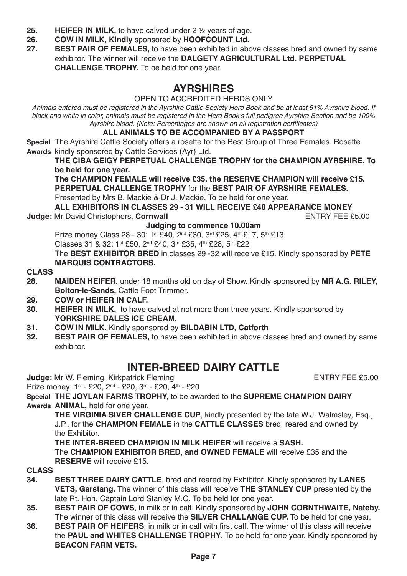- **25. HEIFER IN MILK, to have calved under 2 ½ years of age.**<br>**26. COW IN MILK, Kindly sponsored by HOOFCOUNT Ltd.**
- **26. COW IN MILK, Kindly** sponsored by **HOOFCOUNT Ltd.**
- **BEST PAIR OF FEMALES,** to have been exhibited in above classes bred and owned by same exhibitor. The winner will receive the **DALGETY AGRICULTURAL Ltd. PERPETUAL CHALLENGE TROPHY.** To be held for one year.

# **AYRSHIRES**

OPEN TO ACCREDITED HERDS ONLY

Animals entered must be registered in the Ayrshire Cattle Society Herd Book and be at least 51% Ayrshire blood. If black and white in color, animals must be registered in the Herd Book's full pedigree Ayrshire Section and be 100% Ayrshire blood. (Note: Percentages are shown on all registration certificates)

#### **ALL ANIMALS TO BE ACCOMPANIED BY A PASSPORT**

**Special** The Ayrshire Cattle Society offers a rosette for the Best Group of Three Females. Rosette **Awards** kindly sponsored by Cattle Services (Ayr) Ltd.

#### **THE CIBA GEIGY PERPETUAL CHALLENGE TROPHY for the CHAMPION AYRSHIRE. To be held for one year.**

**The CHAMPION FEMALE will receive £35, the RESERVE CHAMPION will receive £15. PERPETUAL CHALLENGE TROPHY** for the **BEST PAIR OF AYRSHIRE FEMALES.**

Presented by Mrs B. Mackie & Dr J. Mackie. To be held for one year.

**ALL EXHIBITORS IN CLASSES 29 - 31 WILL RECEIVE £40 APPEARANCE MONEY Judge: Mr David Christophers, Cornwall** 

#### **Judging to commence 10.00am**

Prize money Class 28 - 30: 1st £40, 2<sup>nd</sup> £30, 3<sup>rd</sup> £25, 4<sup>th</sup> £17, 5<sup>th</sup> £13  $Classes$  31 & 32: 1st £50, 2nd £40, 3rd £35, 4th £28, 5th £22

The **BEST EXHIBITOR BRED** in classes 29 -32 will receive £15. Kindly sponsored by **PETE MARQUIS CONTRACTORS.**

# **CLASS**

- **28. MAIDEN HEIFER,** under 18 months old on day of Show. Kindly sponsored by **MR A.G. RILEY, Bolton-le-Sands,** Cattle Foot Trimmer.
- **29. COW or HEIFER IN CALF.**
- **30. HEIFER IN MILK,** to have calved at not more than three years. Kindly sponsored by **YORKSHIRE DALES ICE CREAM.**
- **31. COW IN MILK.** Kindly sponsored by **BILDABIN LTD, Catforth**
- **BEST PAIR OF FEMALES, to have been exhibited in above classes bred and owned by same** exhibitor.

# **INTER-BREED DAIRY CATTLE**

**Judge:** Mr W. Fleming, Kirkpatrick Fleming ENTRY FEE £5.00

Prize money: 1st - £20, 2<sup>nd</sup> - £20, 3<sup>rd</sup> - £20, 4<sup>th</sup> - £20

**Special THE JOYLAN FARMS TROPHY,** to be awarded to the **SUPREME CHAMPION DAIRY**

**Awards ANIMAL,** held for one year.

**THE VIRGINIA SIVER CHALLENGE CUP**, kindly presented by the late W.J. Walmsley, Esq., J.P., for the **CHAMPION FEMALE** in the **CATTLE CLASSES** bred, reared and owned by the Exhibitor.

**THE INTER-BREED CHAMPION IN MILK HEIFER** will receive a **SASH.** The **CHAMPION EXHIBITOR BRED, and OWNED FEMALE** will receive £35 and the **RESERVE** will receive £15.

- **34. BEST THREE DAIRY CATTLE**, bred and reared by Exhibitor. Kindly sponsored by **LANES VETS, Garstang.** The winner of this class will receive **THE STANLEY CUP** presented by the late Rt. Hon. Captain Lord Stanley M.C. To be held for one year.
- **35. BEST PAIR OF COWS**, in milk or in calf. Kindly sponsored by **JOHN CORNTHWAITE, Nateby.** The winner of this class will receive the **SILVER CHALLANGE CUP.** To be held for one year.
- **36. BEST PAIR OF HEIFERS**, in milk or in calf with first calf. The winner of this class will receive the **PAUL and WHITES CHALLENGE TROPHY**. To be held for one year. Kindly sponsored by **BEACON FARM VETS.**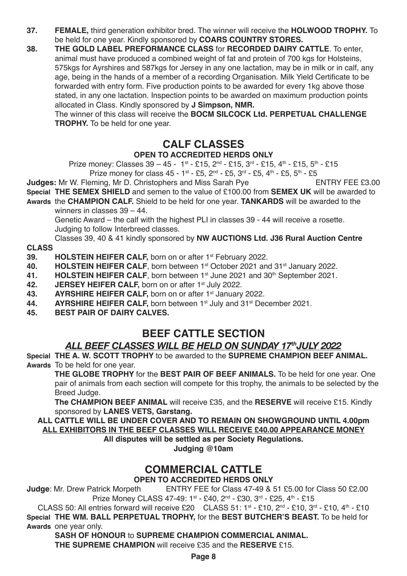- **37. FEMALE,** third generation exhibitor bred. The winner will receive the **HOLWOOD TROPHY.** To be held for one year. Kindly sponsored by **COARS COUNTRY STORES.**
- **38. THE GOLD LABEL PREFORMANCE CLASS** for **RECORDED DAIRY CATTLE**. To enter, animal must have produced a combined weight of fat and protein of 700 kgs for Holsteins, 575kgs for Ayrshires and 587kgs for Jersey in any one lactation, may be in milk or in calf, any age, being in the hands of a member of a recording Organisation. Milk Yield Certificate to be forwarded with entry form. Five production points to be awarded for every 1kg above those stated, in any one lactation. Inspection points to be awarded on maximum production points allocated in Class. Kindly sponsored by **J Simpson, NMR.**

The winner of this class will receive the **BOCM SILCOCK Ltd. PERPETUAL CHALLENGE TROPHY.** To be held for one year.

# **CALF CLASSES**

### **OPEN TO ACCREDITED HERDS ONLY**

Prize money: Classes 39 – 45 - 1st - £15, 2nd - £15, 3rd - £15, 4th - £15, 5th - £15

- Prize money for class 45 1st £5, 2<sup>nd</sup> £5, 3<sup>rd</sup> £5, 4<sup>th</sup> £5, 5<sup>th</sup> £5<br>Pring Mr D. Christophers and Miss Sarab Pye **Judges:** Mr W. Fleming, Mr D. Christophers and Miss Sarah Pye
- **Special THE SEMEX SHIELD** and semen to the value of £100.00 from **SEMEX UK** will be awarded to
- **Awards** the **CHAMPION CALF.** Shield to be held for one year. **TANKARDS** will be awarded to the winners in classes 39 – 44.

Genetic Award – the calf with the highest PLI in classes 39 - 44 will receive a rosette. Judging to follow Interbreed classes.

Classes 39, 40 & 41 kindly sponsored by **NW AUCTIONS Ltd. J36 Rural Auction Centre**

# **CLASS**

- **39. <b>HOLSTEIN HEIFER CALF**, born on or after 1<sup>st</sup> February 2022.<br>**40. HOLSTEIN HEIFER CALF**, born between 1<sup>st</sup> October 2021 an
- **40. HOLSTEIN HEIFER CALF**, born between 1<sup>st</sup> October 2021 and 31<sup>st</sup> January 2022.<br>**41. HOLSTEIN HEIFER CALF** born between 1<sup>st</sup> June 2021 and 30<sup>th</sup> September 2021
- **41. HOLSTEIN HEIFER CALF**, born between 1<sup>st</sup> June 2021 and 30<sup>th</sup> September 2021.<br>**42. <b>IFBSEY HEIFER CALF** born on or after 1st July 2022
- **42. JERSEY HEIFER CALF, born on or after 1st July 2022.**<br>**43. AVRSHIRF HEIFFR CALF** born on or after 1st January
- **43. AYRSHIRE HEIFER CALF,** born on or after 1st January 2022.
- **44. AYRSHIRE HEIFER CALF, born between 1st July and 31st December 2021.**<br>45. **BEST PAIR OF DAIRY CALVES.**
- **45. BEST PAIR OF DAIRY CALVES.**

# **BEEF CATTLE SECTION**

# *ALL BEEF CLASSES WILL BE HELD ON SUNDAY 17thJULY 2022*

**Special THE A. W. SCOTT TROPHY** to be awarded to the **SUPREME CHAMPION BEEF ANIMAL. Awards** To be held for one year.

 **THE GLOBE TROPHY** for the **BEST PAIR OF BEEF ANIMALS.** To be held for one year. One pair of animals from each section will compete for this trophy, the animals to be selected by the Breed Judge.

**The CHAMPION BEEF ANIMAL** will receive £35, and the **RESERVE** will receive £15. Kindly sponsored by **LANES VETS, Garstang.**

**ALL CATTLE WILL BE UNDER COVER AND TO REMAIN ON SHOWGROUND UNTIL 4.00pm ALL EXHIBITORS IN THE BEEF CLASSES WILL RECEIVE £40.00 APPEARANCE MONEY**

**All disputes will be settled as per Society Regulations.**

**Judging @10am**

# **COMMERCIAL CATTLE**

**OPEN TO ACCREDITED HERDS ONLY**<br>**Judge:** Mr. Drew Patrick Morpeth ENTRY FEE for Class 47-49 & 9 **ENTRY FEE for Class 47-49 & 51 £5.00 for Class 50 £2.00** Prize Money CLASS 47-49: 1st - £40, 2nd - £30, 3rd - £25, 4th - £15

CLASS 50: All entries forward will receive £20 CLASS 51:  $1^{st}$  - £10,  $2^{nd}$  - £10,  $3^{rd}$  - £10,  $4^{th}$  - £10 **Special THE WM. BALL PERPETUAL TROPHY,** for the **BEST BUTCHER'S BEAST.** To be held for **Awards** one year only.

**SASH OF HONOUR** to **SUPREME CHAMPION COMMERCIAL ANIMAL.**

**THE SUPREME CHAMPION** will receive £35 and the **RESERVE** £15.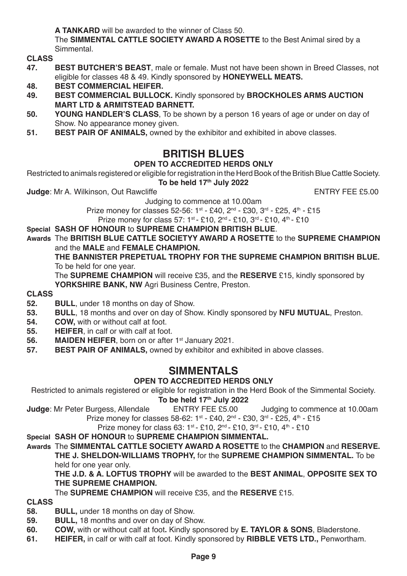**A TANKARD** will be awarded to the winner of Class 50.

The **SIMMENTAL CATTLE SOCIETY AWARD A ROSETTE** to the Best Animal sired by a Simmental.

**CLASS**

- **47. BEST BUTCHER'S BEAST**, male or female. Must not have been shown in Breed Classes, not eligible for classes 48 & 49. Kindly sponsored by **HONEYWELL MEATS.**
- **48. BEST COMMERCIAL HEIFER.**
- **49. BEST COMMERCIAL BULLOCK.** Kindly sponsored by **BROCKHOLES ARMS AUCTION MART LTD & ARMITSTEAD BARNETT.**
- **50. YOUNG HANDLER'S CLASS**, To be shown by a person 16 years of age or under on day of Show. No appearance money given.
- **51. BEST PAIR OF ANIMALS,** owned by the exhibitor and exhibited in above classes.

# **BRITISH BLUES**

### **OPEN TO ACCREDITED HERDS ONLY**

Restricted to animals registered or eligible for registration in the Herd Book of the British Blue Cattle Society. To be held 17<sup>th</sup> July 2022

**Judge:** Mr A. Wilkinson, Out Rawcliffe **Entrary Fee 10 and Struck ENTRY FEE £5.00** 

Judging to commence at 10.00am Prize money for classes 52-56: 1st - £40, 2<sup>nd</sup> - £30, 3<sup>rd</sup> - £25, 4<sup>th</sup> - £15

Prize money for class 57: 1st - £10, 2<sup>nd</sup> - £10, 3<sup>rd</sup> - £10, 4<sup>th</sup> - £10

#### **Special SASH OF HONOUR** to **SUPREME CHAMPION BRITISH BLUE**.

**Awards** The **BRITISH BLUE CATTLE SOCIETYY AWARD A ROSETTE** to the **SUPREME CHAMPION** and the **MALE** and **FEMALE CHAMPION.**

**THE BANNISTER PREPETUAL TROPHY FOR THE SUPREME CHAMPION BRITISH BLUE.** To be held for one year.

The **SUPREME CHAMPION** will receive £35, and the **RESERVE** £15, kindly sponsored by **YORKSHIRE BANK, NW Agri Business Centre, Preston.** 

# **CLASS**

- **52. BULL**, under 18 months on day of Show.
- **53. BULL**, 18 months and over on day of Show. Kindly sponsored by **NFU MUTUAL**, Preston.
- **54. COW,** with or without calf at foot.<br>**55. HEIEER** in calf or with calf at foot.
- **55. HEIFER**, in calf or with calf at foot.
- **56. MAIDEN HEIFER**, born on or after 1<sup>st</sup> January 2021.<br>**57. <b>BEST PAIR OF ANIMALS** owned by exhibitor and e
- **BEST PAIR OF ANIMALS, owned by exhibitor and exhibited in above classes.**

# **SIMMENTALS**

### **OPEN TO ACCREDITED HERDS ONLY**

Restricted to animals registered or eligible for registration in the Herd Book of the Simmental Society.

# **To be held 17<sup>th</sup> July 2022**<br>ENTRY FEE £5.00

**Judge**: Mr Peter Burgess, Allendale ENTRY FEE £5.00 Judging to commence at 10.00am

Prize money for classes 58-62:  $1^{st} - 540$ ,  $2^{nd} - 530$ ,  $3^{rd} - 525$ ,  $4^{th} - 515$ 

Prize money for class 63: 1st - £10, 2<sup>nd</sup> - £10, 3<sup>rd</sup> - £10, 4<sup>th</sup> - £10

#### **Special SASH OF HONOUR** to **SUPREME CHAMPION SIMMENTAL.**

**Awards** The **SIMMENTAL CATTLE SOCIETY AWARD A ROSETTE** to the **CHAMPION** and **RESERVE. THE J. SHELDON-WILLIAMS TROPHY,** for the **SUPREME CHAMPION SIMMENTAL.** To be held for one year only.

**THE J.D. & A. LOFTUS TROPHY** will be awarded to the **BEST ANIMAL**, **OPPOSITE SEX TO THE SUPREME CHAMPION.**

The **SUPREME CHAMPION** will receive £35, and the **RESERVE** £15.

- **58. BULL,** under 18 months on day of Show.
- **59. BULL, 18 months and over on day of Show.**<br>**60. COW** with or without calf at foot Kindly sport
- **60. COW,** with or without calf at foot**.** Kindly sponsored by **E. TAYLOR & SONS**, Bladerstone.
- **61. HEIFER,** in calf or with calf at foot. Kindly sponsored by **RIBBLE VETS LTD.,** Penwortham.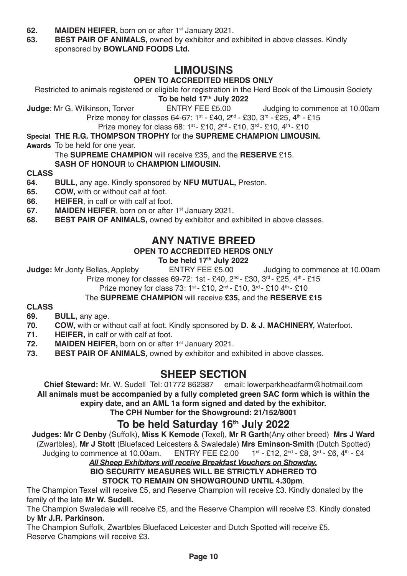- **62. MAIDEN HEIFER,** born on or after 1<sup>st</sup> January 2021.<br>**63. BEST PAIR OF ANIMALS**, owned by exhibitor and e
- **BEST PAIR OF ANIMALS, owned by exhibitor and exhibited in above classes. Kindly** sponsored by **BOWLAND FOODS Ltd.**

# **LIMOUSINS**

### **OPEN TO ACCREDITED HERDS ONLY**

Restricted to animals registered or eligible for registration in the Herd Book of the Limousin Society

**To be held 17<sup>th</sup> July 2022**<br>ENTRY FEE £5.00 **Judge:** Mr G. Wilkinson, Torver **ENTRY FEE £5.00** Judging to commence at 10.00am Prize money for classes 64-67: 1st - £40, 2nd - £30, 3rd - £25, 4th - £15

Prize money for class 68: 1st - £10, 2nd - £10, 3rd - £10, 4th - £10

**Special THE R.G. THOMPSON TROPHY** for the **SUPREME CHAMPION LIMOUSIN.**

**Awards** To be held for one year.

The **SUPREME CHAMPION** will receive £35, and the **RESERVE** £15.

### **SASH OF HONOUR** to **CHAMPION LIMOUSIN.**

# **CLASS**

- **64. BULL,** any age. Kindly sponsored by **NFU MUTUAL,** Preston.
- **65. COW,** with or without calf at foot.<br>**66. HEIFER**. in calf or with calf at foot.
- **66. HEIFER**, in calf or with calf at foot.<br>**67. MAIDEN HEIFER** born on or after
- **MAIDEN HEIFER, born on or after 1st January 2021.**
- **68. BEST PAIR OF ANIMALS,** owned by exhibitor and exhibited in above classes.

## **ANY NATIVE BREED**

### **OPEN TO ACCREDITED HERDS ONLY**

# **To be held 17th July 2022**<br>ENTRY FEE £5.00

**Judge:** Mr Jonty Bellas, Appleby ENTRY FEE £5.00 Judging to commence at 10.00am Prize money for classes 69-72: 1st - £40, 2<sup>nd</sup> - £30, 3<sup>rd</sup> - £25, 4<sup>th</sup> - £15

Prize money for class 73:  $1^{st}$  - £10,  $2^{nd}$  - £10,  $3^{rd}$  - £10  $4^{th}$  - £10

The **SUPREME CHAMPION** will receive **£35,** and the **RESERVE £15**

# **CLASS**

- **69. BULL,** any age.
- **70. COW,** with or without calf at foot. Kindly sponsored by **D. & J. MACHINERY,** Waterfoot.
- **71. HEIFER, in calf or with calf at foot.**<br>**72. MAIDEN HEIFER** born on or after
- **72. MAIDEN HEIFER,** born on or after 1<sup>st</sup> January 2021.<br>**73. BEST PAIR OF ANIMALS**, owned by exhibitor and e
- **BEST PAIR OF ANIMALS, owned by exhibitor and exhibited in above classes.**

# **SHEEP SECTION**

**Chief Steward:** Mr. W. Sudell Tel: 01772 862387 email: lowerparkheadfarm@hotmail.com **All animals must be accompanied by a fully completed green SAC form which is within the expiry date, and an AML 1a form signed and dated by the exhibitor.**

**The CPH Number for the Showground: 21/152/8001**

## To be held Saturday 16<sup>th</sup> July 2022

**Judges: Mr C Denby** (Suffolk), **Miss K Kemode** (Texel), **Mr R Garth**(Any other breed) **Mrs J Ward** (Zwartbles), **Mr J Stott** (Bluefaced Leicesters & Swaledale) **Mrs Eminson-Smith** (Dutch Spotted) Judging to commence at 10.00 am.

# *All Sheep Exhibitors will receive Breakfast Vouchers on Showday.*

**BIO SECURITY MEASURES WILL BE STRICTLY ADHERED TO STOCK TO REMAIN ON SHOWGROUND UNTIL 4.30pm**.

The Champion Texel will receive £5, and Reserve Champion will receive £3. Kindly donated by the family of the late **Mr W. Sudell.**

The Champion Swaledale will receive £5, and the Reserve Champion will receive £3. Kindly donated by **Mr J.R. Parkinson.**

The Champion Suffolk, Zwartbles Bluefaced Leicester and Dutch Spotted will receive £5. Reserve Champions will receive £3.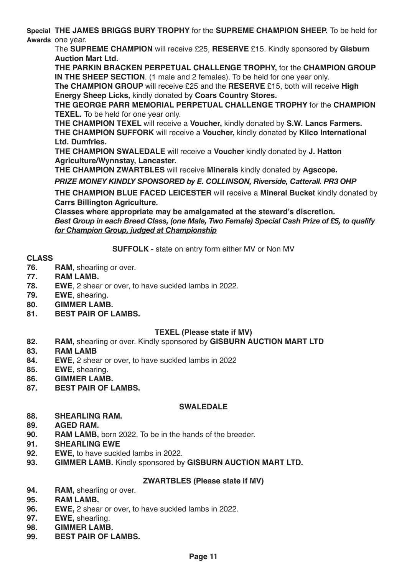**Special THE JAMES BRIGGS BURY TROPHY** for the **SUPREME CHAMPION SHEEP.** To be held for **Awards** one year.

The **SUPREME CHAMPION** will receive £25, **RESERVE** £15. Kindly sponsored by **Gisburn Auction Mart Ltd.**

**THE PARKIN BRACKEN PERPETUAL CHALLENGE TROPHY,** for the **CHAMPION GROUP IN THE SHEEP SECTION**. (1 male and 2 females). To be held for one year only.

**The CHAMPION GROUP** will receive £25 and the **RESERVE** £15, both will receive **High Energy Sheep Licks,** kindly donated by **Coars Country Stores.**

**THE GEORGE PARR MEMORIAL PERPETUAL CHALLENGE TROPHY** for the **CHAMPION TEXEL.** To be held for one year only.

**THE CHAMPION TEXEL** will receive a **Voucher,** kindly donated by **S.W. Lancs Farmers. THE CHAMPION SUFFORK** will receive a **Voucher,** kindly donated by **Kilco International Ltd. Dumfries.**

**THE CHAMPION SWALEDALE** will receive a **Voucher** kindly donated by **J. Hatton Agriculture/Wynnstay, Lancaster.**

**THE CHAMPION ZWARTBLES** will receive **Minerals** kindly donated by **Agscope.**

*PRIZE MONEY KINDLY SPONSORED by E. COLLINSON, Riverside, Catterall. PR3 OHP*

**THE CHAMPION BLUE FACED LEICESTER** will receive a **Mineral Bucket** kindly donated by **Carrs Billington Agriculture.**

**Classes where appropriate may be amalgamated at the steward's discretion.** *Best Group in each Breed Class, (one Male, Two Female) Special Cash Prize of £5, to qualify for Champion Group, judged at Championship*

**SUFFOLK -** state on entry form either MV or Non MV

# **CLASS**

- **76. RAM**, shearling or over.
- **77. RAM LAMB.**
- **78. EWE**, 2 shear or over, to have suckled lambs in 2022.
- **79. EWE**, shearing.
- **80. GIMMER LAMB.**
- **81. BEST PAIR OF LAMBS.**

#### **TEXEL (Please state if MV)**

- **82. RAM,** shearling or over. Kindly sponsored by **GISBURN AUCTION MART LTD**
- **83. RAM LAMB**
- **84. EWE**, 2 shear or over, to have suckled lambs in 2022
- **85. EWE**, shearing.
- 
- **86. GIMMER LAMB. 87. BEST PAIR OF LAMBS.**

#### **SWALEDALE**

- **88. SHEARLING RAM.**
- **89. AGED RAM.**
- **RAM LAMB.** born 2022. To be in the hands of the breeder.
- **91. SHEARLING EWE**
- **92. EWE,** to have suckled lambs in 2022.
- **93. GIMMER LAMB.** Kindly sponsored by **GISBURN AUCTION MART LTD.**

#### **ZWARTBLES (Please state if MV)**

- **94. RAM,** shearling or over.
- **95. RAM LAMB.**
- **96. EWE,** 2 shear or over, to have suckled lambs in 2022.<br>**97. EWE**, shearling.
- **97. EWE,** shearling.
- **98. GIMMER LAMB.**
- **BEST PAIR OF LAMBS.**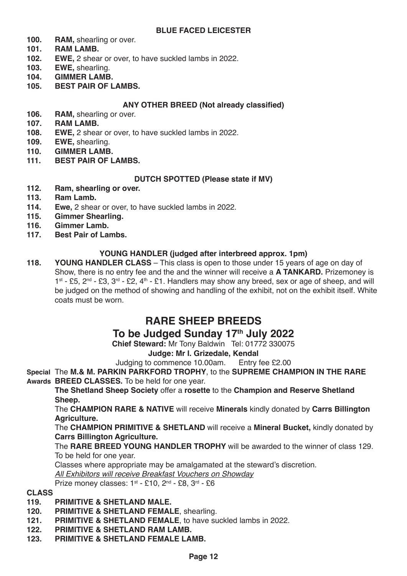#### **BLUE FACED LEICESTER**

- **100. RAM, shearling or over.**<br>**101 RAM LAMR**
- **101. RAM LAMB.**
- **102. EWE,** 2 shear or over, to have suckled lambs in 2022.<br>**103. EWE** shearling
- **103. EWE,** shearling.
- **104. GIMMER LAMB.**
- **105. BEST PAIR OF LAMBS.**

#### **ANY OTHER BREED (Not already classified)**

- 106. **RAM, shearling or over.**<br>107. **RAM LAMB.**
- **107. RAM LAMB.**
- **108. EWE,** 2 shear or over, to have suckled lambs in 2022.<br>**109. EWE**, shearling
- **109. EWE,** shearling.
- **110. GIMMER LAMB.**
- **BEST PAIR OF LAMBS.**

#### **DUTCH SPOTTED (Please state if MV)**

- **112. Ram, shearling or over.**
- **113. Ram Lamb.**
- **114. Ewe,** 2 shear or over, to have suckled lambs in 2022.<br>**115. Gimmer Shearling.**
- **115. Gimmer Shearling.**
- **116. Gimmer Lamb.**
- **Best Pair of Lambs.**

#### **YOUNG HANDLER (judged after interbreed approx. 1pm)**

**118. YOUNG HANDLER CLASS** – This class is open to those under 15 years of age on day of Show, there is no entry fee and the and the winner will receive a **A TANKARD.** Prizemoney is  $1^{st}$  - £5,  $2^{nd}$  - £3,  $3^{rd}$  - £2,  $4^{th}$  - £1. Handlers may show any breed, sex or age of sheep, and will be judged on the method of showing and handling of the exhibit, not on the exhibit itself. White coats must be worn.

# **RARE SHEEP BREEDS**

# To be Judged Sunday 17th July 2022

**Chief Steward:** Mr Tony Baldwin Tel: 01772 330075

**Judge: Mr I. Grizedale, Kendal**

Judging to commence 10.00am. Entry fee £2.00

**Special** The **M.& M. PARKIN PARKFORD TROPHY**, to the **SUPREME CHAMPION IN THE RARE Awards BREED CLASSES.** To be held for one year.

**The Shetland Sheep Society** offer a **rosette** to the **Champion and Reserve Shetland Sheep.**

The **CHAMPION RARE & NATIVE** will receive **Minerals** kindly donated by **Carrs Billington Agriculture.**

The **CHAMPION PRIMITIVE & SHETLAND** will receive a **Mineral Bucket,** kindly donated by **Carrs Billington Agriculture.**

The **RARE BREED YOUNG HANDLER TROPHY** will be awarded to the winner of class 129. To be held for one year.

Classes where appropriate may be amalgamated at the steward's discretion.

All Exhibitors will receive Breakfast Vouchers on Showday

Prize money classes: 1st - £10, 2<sup>nd</sup> - £8, 3<sup>rd</sup> - £6

- **119. PRIMITIVE & SHETLAND MALE.**
- **120. PRIMITIVE & SHETLAND FEMALE**, shearling.
- **121. PRIMITIVE & SHETLAND FEMALE**, to have suckled lambs in 2022.
- **122. PRIMITIVE & SHETLAND RAM LAMB.**
- **123. PRIMITIVE & SHETLAND FEMALE LAMB.**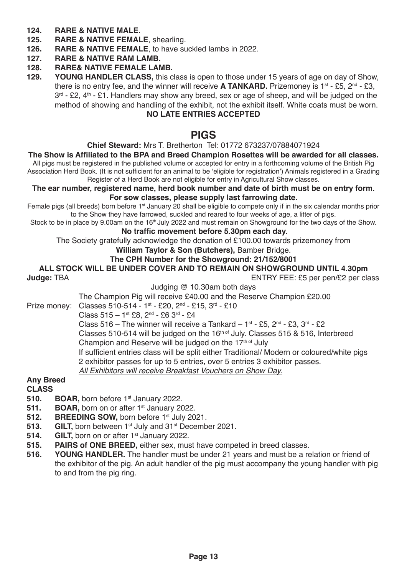# **124. RARE & NATIVE MALE.**

- **125. RARE & NATIVE FEMALE**, shearling.
- **126. RARE & NATIVE FEMALE**, to have suckled lambs in 2022.

**127. RARE & NATIVE RAM LAMB.**

# **128. RARE& NATIVE FEMALE LAMB.**

**129. YOUNG HANDLER CLASS,** this class is open to those under 15 years of age on day of Show, there is no entry fee, and the winner will receive **A TANKARD.** Prizemoney is 1<sup>st</sup> - £5, 2<sup>nd</sup> - £3,  $3<sup>rd</sup>$  - £2, 4<sup>th</sup> - £1. Handlers may show any breed, sex or age of sheep, and will be judged on the method of showing and handling of the exhibit, not the exhibit itself. White coats must be worn.

### **NO LATE ENTRIES ACCEPTED**

### **PIGS**

#### **Chief Steward:** Mrs T. Bretherton Tel: 01772 673237/07884071924

**The Show is Affiliated to the BPA and Breed Champion Rosettes will be awarded for all classes.**

All pigs must be registered in the published volume or accepted for entry in a forthcoming volume of the British Pig Association Herd Book. (It is not sufficient for an animal to be 'eligible for registration') Animals registered in a Grading Register of a Herd Book are not eligible for entry in Agricultural Show classes.

# **The ear number, registered name, herd book number and date of birth must be on entry form.**

#### **For sow classes, please supply last farrowing date.** Female pigs (all breeds) born before 1st January 20 shall be eligible to compete only if in the six calendar months prior

to the Show they have farrowed, suckled and reared to four weeks of age, a litter of pigs.

Stock to be in place by 9.00am on the 16<sup>th</sup> July 2022 and must remain on Showground for the two days of the Show.

#### **No traffic movement before 5.30pm each day.**

The Society gratefully acknowledge the donation of £100.00 towards prizemoney from

#### **William Taylor & Son (Butchers),** Bamber Bridge.

#### **The CPH Number for the Showground: 21/152/8001**

### **ALL STOCK WILL BE UNDER COVER AND TO REMAIN ON SHOWGROUND UNTIL 4.30pm**

**Judge:** TBA ENTRY FEE: £5 per pen/£2 per class Judging @ 10.30am both days

The Champion Pig will receive £40.00 and the Reserve Champion £20.00

### Prize money: Classes 510-514 - 1st - £20, 2nd - £15, 3rd - £10

 $Class 515 - 1$ <sup>st</sup> £8,  $2^{nd} - 6$  3<sup>rd</sup> - £4

Class 516 – The winner will receive a Tankard –  $1^{st}$  - £5,  $2^{nd}$  - £3,  $3^{rd}$  - £2

Classes 510-514 will be judged on the 16<sup>th of</sup> July. Classes 515 & 516, Interbreed

Champion and Reserve will be judged on the  $17<sup>th of</sup>$  July

If sufficient entries class will be split either Traditional/ Modern or coloured/white pigs

2 exhibitor passes for up to 5 entries, over 5 entries 3 exhibitor passes.

All Exhibitors will receive Breakfast Vouchers on Show Day.

#### **Any Breed**

- **510. BOAR, born before 1<sup>st</sup> January 2022.**<br>**511. BOAR**, born on or after 1<sup>st</sup> January 20
- **BOAR, born on or after 1st January 2022.**
- **512. BREEDING SOW, born before 1st July 2021.**<br>**513. GILT** born between 1st July and 31st Decemb
- **513. GILT, born between 1st July and 31st December 2021.**<br>**514. GILT, born on or after 1st January 2022**
- **514. GILT, born on or after 1st January 2022.**<br>**515. PAIRS of ONE BREED, either sex. must**
- **515. PAIRS of ONE BREED,** either sex, must have competed in breed classes.<br>**516. YOUNG HANDLER.** The handler must be under 21 years and must be a re-
- **516. YOUNG HANDLER.** The handler must be under 21 years and must be a relation or friend of the exhibitor of the pig. An adult handler of the pig must accompany the young handler with pig to and from the pig ring.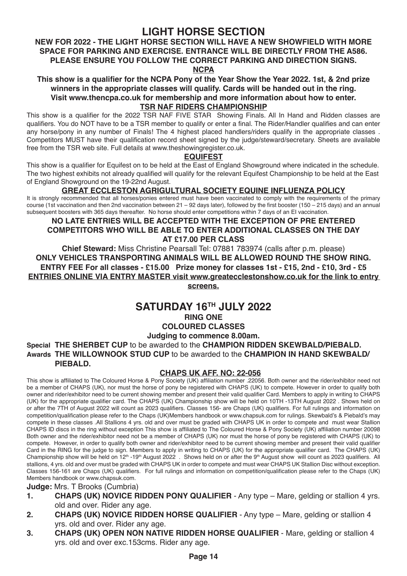# **LIGHT HORSE SECTION**

#### **NEW FOR 2022 - THE LIGHT HORSE SECTION WILL HAVE A NEW SHOWFIELD WITH MORE SPACE FOR PARKING AND EXERCISE. ENTRANCE WILL BE DIRECTLY FROM THE A586. PLEASE ENSURE YOU FOLLOW THE CORRECT PARKING AND DIRECTION SIGNS. NCPA**

**This show is a qualifier for the NCPA Pony of the Year Show the Year 2022. 1st, & 2nd prize winners in the appropriate classes will qualify. Cards will be handed out in the ring. Visit www.thencpa.co.uk for membership and more information about how to enter.**

### **TSR NAF RIDERS CHAMPIONSHIP**

This show is a qualifier for the 2022 TSR NAF FIVE STAR Showing Finals. All In Hand and Ridden classes are qualifiers. You do NOT have to be a TSR member to qualify or enter a final. The Rider/Handler qualifies and can enter any horse/pony in any number of Finals! The 4 highest placed handlers/riders qualify in the appropriate classes. Competitors MUST have their qualification record sheet signed by the judge/steward/secretary. Sheets are available free from the TSR web site. Full details at www.theshowingregister.co.uk.

#### **EQUIFEST**

This show is a qualifier for Equifest on to be held at the East of England Showground where indicated in the schedule. The two highest exhibits not already qualified will qualify for the relevant Equifest Championship to be held at the East of England Showground on the 19-22nd August.

#### **GREAT ECCLESTON AGRIGULTURAL SOCIETY EQUINE INFLUENZA POLICY**

It is strongly recommended that all horses/ponies entered must have been vaccinated to comply with the requirements of the primary course (1st vaccination and then 2nd vaccination between 21 – 92 days later), followed by the first booster (150 – 215 days) and an annual subsequent boosters with 365 days thereafter. No horse should enter competitions within 7 days of an EI vaccination.

#### **NO LATE ENTRIES WILL BE ACCEPTED WITH THE EXCEPTION OF PRE ENTERED COMPETITORS WHO WILL BE ABLE TO ENTER ADDITIONAL CLASSES ON THE DAY AT £17.00 PER CLASS**

**Chief Steward:** Miss Christine Pearsall Tel: 07881 783974 (calls after p.m. please) **ONLY VEHICLES TRANSPORTING ANIMALS WILL BE ALLOWED ROUND THE SHOW RING. ENTRY FEE For all classes - £15.00 Prize money for classes 1st - £15, 2nd - £10, 3rd - £5 ENTRIES ONLINE VIA ENTRY MASTER visit www.greatecclestonshow.co.uk for the link to entry screens.**

### **SATURDAY 16TH JULY 2022**

#### **RING ONE**

### **COLOURED CLASSES**

#### **Judging to commence 8.00am.**

**Special THE SHERBET CUP** to be awarded to the **CHAMPION RIDDEN SKEWBALD/PIEBALD. Awards THE WILLOWNOOK STUD CUP** to be awarded to the **CHAMPION IN HAND SKEWBALD/ PIEBALD.**

#### **CHAPS UK AFF. NO: 22-056**

This show is affiliated to The Coloured Horse & Pony Society (UK) affiliation number .22056. Both owner and the rider/exhibitor need not be a member of CHAPS (UK), nor must the horse of pony be registered with CHAPS (UK) to compete. However in order to qualify both owner and rider/exhibitor need to be current showing member and present their valid qualifier Card. Members to apply in writing to CHAPS (UK) for the appropriate qualifier card. The CHAPS (UK) Championship show will be held on 10TH -13TH August 2022 . Shows held on or after the 7TH of August 2022 will count as 2023 qualifiers. Classes 156- are Chaps (UK) qualifiers. For full rulings and information on competition/qualification please refer to the Chaps (UK)Members handbook or www.chapsuk.com for rulings. Skewbald's & Piebald's may compete in these classes .All Stallions 4 yrs. old and over must be graded with CHAPS UK in order to compete and must wear Stallion CHAPS ID discs in the ring without exception This show is affiliated to The Coloured Horse & Pony Society (UK) affiliation number 20098 Both owner and the rider/exhibitor need not be a member of CHAPS (UK) nor must the horse of pony be registered with CHAPS (UK) to compete. However, in order to qualify both owner and rider/exhibitor need to be current showing member and present their valid qualifier Card in the RING for the judge to sign. Members to apply in writing to CHAPS (UK) for the appropriate qualifier card. The CHAPS (UK) Championship show will be held on 12<sup>th</sup> -19<sup>th</sup> August 2022 . Shows held on or after the 9<sup>th</sup> August show will count as 2023 qualifiers. All stallions, 4 yrs. old and over must be graded with CHAPS UK in order to compete and must wear CHAPS UK Stallion Disc without exception. Classes 156-161 are Chaps (UK) qualifiers. For full rulings and information on competition/qualification please refer to the Chaps (UK) Members handbook or www.chapsuk.com.

#### **Judge:** Mrs. T Brooks (Cumbria)

- **1. CHAPS (UK) NOVICE RIDDEN PONY QUALIFIER** Any type Mare, gelding or stallion 4 yrs. old and over. Rider any age.
- **2. CHAPS (UK) NOVICE RIDDEN HORSE QUALIFIER** Any type Mare, gelding or stallion 4 yrs. old and over. Rider any age.
- **3. CHAPS (UK) OPEN NON NATIVE RIDDEN HORSE QUALIFIER**  Mare, gelding or stallion 4 yrs. old and over exc.153cms. Rider any age.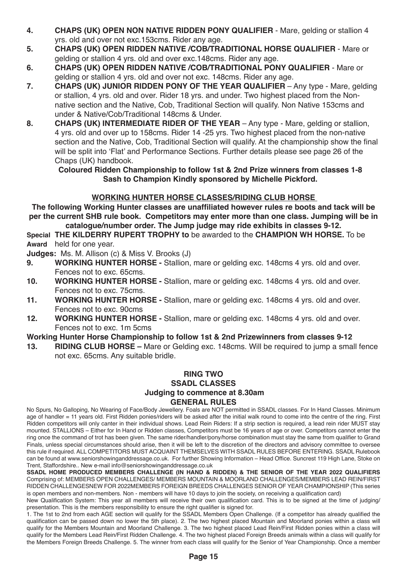- **4. CHAPS (UK) OPEN NON NATIVE RIDDEN PONY QUALIFIER**  Mare, gelding or stallion 4 yrs. old and over not exc.153cms. Rider any age.
- **5. CHAPS (UK) OPEN RIDDEN NATIVE /COB/TRADITIONAL HORSE QUALIFIER** Mare or gelding or stallion 4 yrs. old and over exc.148cms. Rider any age.
- **6. CHAPS (UK) OPEN RIDDEN NATIVE /COB/TRADITIONAL PONY QUALIFIER** Mare or gelding or stallion 4 yrs. old and over not exc. 148cms. Rider any age.
- **7. CHAPS (UK) JUNIOR RIDDEN PONY OF THE YEAR QUALIFIER** Any type Mare, gelding or stallion, 4 yrs. old and over. Rider 18 yrs. and under. Two highest placed from the Nonnative section and the Native, Cob, Traditional Section will qualify. Non Native 153cms and under & Native/Cob/Traditional 148cms & Under.
- **8. CHAPS (UK) INTERMEDIATE RIDER OF THE YEAR** Any type Mare, gelding or stallion, 4 yrs. old and over up to 158cms. Rider 14 -25 yrs. Two highest placed from the non-native section and the Native, Cob, Traditional Section will qualify. At the championship show the final will be split into 'Flat' and Performance Sections. Further details please see page 26 of the Chaps (UK) handbook.

#### **Coloured Ridden Championship to follow 1st & 2nd Prize winners from classes 1-8 Sash to Champion Kindly sponsored by Michelle Pickford.**

#### **WORKING HUNTER HORSE CLASSES/RIDING CLUB HORSE**

**The following Working Hunter classes are unaffiliated however rules re boots and tack will be per the current SHB rule book. Competitors may enter more than one class. Jumping will be in** 

**catalogue/number order. The Jump judge may ride exhibits in classes 9-12.**

**Special THE KILDERRY RUPERT TROPHY to** be awarded to the **CHAMPION WH HORSE.** To be **Award** held for one year.

**Judges:** Ms. M. Allison (c) & Miss V. Brooks (J)

- **9. WORKING HUNTER HORSE** Stallion, mare or gelding exc. 148cms 4 yrs. old and over. Fences not to exc. 65cms.
- **10. WORKING HUNTER HORSE** Stallion, mare or gelding exc. 148cms 4 yrs. old and over. Fences not to exc. 75cms.
- **11. WORKING HUNTER HORSE** Stallion, mare or gelding exc. 148cms 4 yrs. old and over. Fences not to exc. 90cms
- **12. WORKING HUNTER HORSE** Stallion, mare or gelding exc. 148cms 4 yrs. old and over. Fences not to exc. 1m 5cms

#### **Working Hunter Horse Championship to follow 1st & 2nd Prizewinners from classes 9-12**

**13. RIDING CLUB HORSE –** Mare or Gelding exc. 148cms. Will be required to jump a small fence not exc. 65cms. Any suitable bridle.

#### **RING TWO SSADL CLASSES Judging to commence at 8.30am GENERAL RULES**

No Spurs, No Galloping, No Wearing of Face/Body Jewellery. Foals are NOT permitted in SSADL classes. For In Hand Classes. Minimum age of handler = 11 years old. First Ridden ponies/riders will be asked after the initial walk round to come into the centre of the ring. First Ridden competitors will only canter in their individual shows. Lead Rein Riders: If a strip section is required, a lead rein rider MUST stay mounted. STALLIONS – Either for In Hand or Ridden classes, Competitors must be 16 years of age or over. Competitors cannot enter the ring once the command of trot has been given. The same rider/handler/pony/horse combination must stay the same from qualifier to Grand Finals, unless special circumstances should arise, then it will be left to the discretion of the directors and advisory committee to oversee this rule if required. ALL COMPETITORS MUST ACQUAINT THEMSELVES WITH SSADL RULES BEFORE ENTERING. SSADL Rulebook can be found at www.seniorshowinganddressage.co.uk. For further Showing Information – Head Office. Suncrest 119 High Lane, Stoke on Trent, Staffordshire.. New e-mail info@seniorshowinganddressage.co.uk

**SSADL HOME PRODUCED MEMBERS CHALLENGE (IN HAND & RIDDEN) & THE SENIOR OF THE YEAR 2022 QUALIFIERS**  Comprising of: MEMBERS OPEN CHALLENGES/ MEMBERS MOUNTAIN & MOORLAND CHALLENGES/MEMBERS LEAD REIN/FIRST RIDDEN CHALLENGESNEW FOR 2022MEMBERS FOREIGN BREEDS CHALLENGES SENIOR OF YEAR CHAMPIONSHIP (This series is open members and non-members. Non - members will have 10 days to join the society, on receiving a qualification card)

New Qualification System: This year all members will receive their own qualification card. This is to be signed at the time of judging/ presentation. This is the members responsibility to ensure the right qualifier is signed for.

1. The 1st to 2nd from each AGE section will qualify for the SSADL Members Open Challenge. (If a competitor has already qualified the qualification can be passed down no lower the 5th place). 2. The two highest placed Mountain and Moorland ponies within a class will qualify for the Members Mountain and Moorland Challenge. 3. The two highest placed Lead Rein/First Ridden ponies within a class will qualify for the Members Lead Rein/First Ridden Challenge. 4. The two highest placed Foreign Breeds animals within a class will qualify for the Members Foreign Breeds Challenge. 5. The winner from each class will qualify for the Senior of Year Championship. Once a member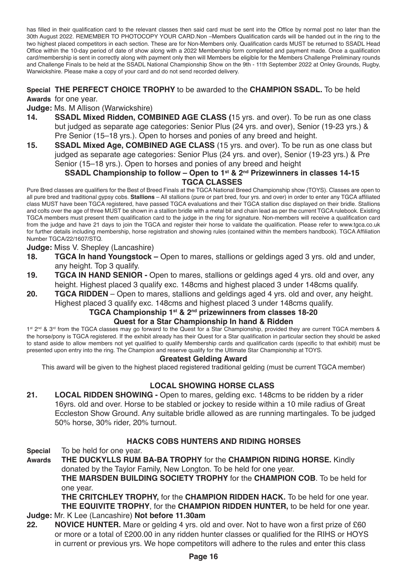has filled in their qualification card to the relevant classes then said card must be sent into the Office by normal post no later than the 30th August 2022. REMEMBER TO PHOTOCOPY YOUR CARD.Non –Members Qualification cards will be handed out in the ring to the two highest placed competitors in each section. These are for Non-Members only. Qualification cards MUST be returned to SSADL Head Office within the 10-day period of date of show along with a 2022 Membership form completed and payment made. Once a qualification card/membership is sent in correctly along with payment only then will Members be eligible for the Members Challenge Preliminary rounds and Challenge Finals to be held at the SSADL National Championship Show on the 9th - 11th September 2022 at Onley Grounds, Rugby, Warwickshire. Please make a copy of your card and do not send recorded delivery.

**Special THE PERFECT CHOICE TROPHY** to be awarded to the **CHAMPION SSADL.** To be held

**Awards** for one year.

**Judge:** Ms. M Allison (Warwickshire)

- **14. SSADL Mixed Ridden, COMBINED AGE CLASS (**15 yrs. and over). To be run as one class but judged as separate age categories: Senior Plus (24 yrs. and over), Senior (19-23 yrs.) & Pre Senior (15–18 yrs.). Open to horses and ponies of any breed and height.
- **15. SSADL Mixed Age, COMBINED AGE CLASS** (15 yrs. and over). To be run as one class but judged as separate age categories: Senior Plus (24 yrs. and over), Senior (19-23 yrs.) & Pre Senior (15–18 yrs.). Open to horses and ponies of any breed and height

#### **SSADL Championship to follow – Open to 1st & 2nd Prizewinners in classes 14-15 TGCA CLASSES**

Pure Bred classes are qualifiers for the Best of Breed Finals at the TGCA National Breed Championship show (TOYS). Classes are open to all pure bred and traditional gypsy cobs. **Stallions** – All stallions (pure or part bred, four yrs. and over) in order to enter any TGCA affiliated class MUST have been TGCA registered, have passed TGCA evaluations and their TGCA stallion disc displayed on their bridle. Stallions and colts over the age of three MUST be shown in a stallion bridle with a metal bit and chain lead as per the current TGCA rulebook. Existing TGCA members must present them qualification card to the judge in the ring for signature. Non-members will receive a qualification card from the judge and have 21 days to join the TGCA and register their horse to validate the qualification. Please refer to www.tgca.co.uk for further details including membership, horse registration and showing rules (contained within the members handbook). TGCA Affiliation Number TGCA/22/1607/STQ.

#### **Judge:** Miss V. Shepley (Lancashire)

- **18. TGCA In hand Youngstock** Open to mares, stallions or geldings aged 3 yrs. old and under, any height. Top 3 qualify.
- **19. TGCA IN HAND SENIOR -** Open to mares, stallions or geldings aged 4 yrs. old and over, any height. Highest placed 3 qualify exc. 148cms and highest placed 3 under 148cms qualify.
- **20. TGCA RIDDEN** Open to mares, stallions and geldings aged 4 yrs. old and over, any height. Highest placed 3 qualify exc. 148cms and highest placed 3 under 148cms qualify.

#### **TGCA Championship 1st & 2nd prizewinners from classes 18-20**

#### **Quest for a Star Championship In hand & Ridden**

1st 2<sup>nd</sup> & 3<sup>rd</sup> from the TGCA classes may go forward to the Quest for a Star Championship, provided they are current TGCA members & the horse/pony is TGCA registered. If the exhibit already has their Quest for a Star qualification in particular section they should be asked to stand aside to allow members not yet qualified to qualify Membership cards and qualification cards (specific to that exhibit) must be presented upon entry into the ring. The Champion and reserve qualify for the Ultimate Star Championship at TOYS.

#### **Greatest Gelding Award**

This award will be given to the highest placed registered traditional gelding (must be current TGCA member)

#### **LOCAL SHOWING HORSE CLASS**

**21. LOCAL RIDDEN SHOWING -** Open to mares, gelding exc. 148cms to be ridden by a rider 16yrs. old and over. Horse to be stabled or jockey to reside within a 10 mile radius of Great Eccleston Show Ground. Any suitable bridle allowed as are running martingales. To be judged 50% horse, 30% rider, 20% turnout.

#### **HACKS COBS HUNTERS AND RIDING HORSES**

**Special** To be held for one year.

**Awards THE DUCKYLLS RUM BA-BA TROPHY** for the **CHAMPION RIDING HORSE.** Kindly donated by the Taylor Family, New Longton. To be held for one year.

**THE MARSDEN BUILDING SOCIETY TROPHY** for the **CHAMPION COB**. To be held for one year.

**THE CRITCHLEY TROPHY,** for the **CHAMPION RIDDEN HACK.** To be held for one year. **THE EQUIVITE TROPHY**, for the **CHAMPION RIDDEN HUNTER,** to be held for one year.

#### **Judge:** Mr. K Lee (Lancashire) **Not before 11.30am**

**22. NOVICE HUNTER.** Mare or gelding 4 yrs. old and over. Not to have won a first prize of £60 or more or a total of £200.00 in any ridden hunter classes or qualified for the RIHS or HOYS in current or previous yrs. We hope competitors will adhere to the rules and enter this class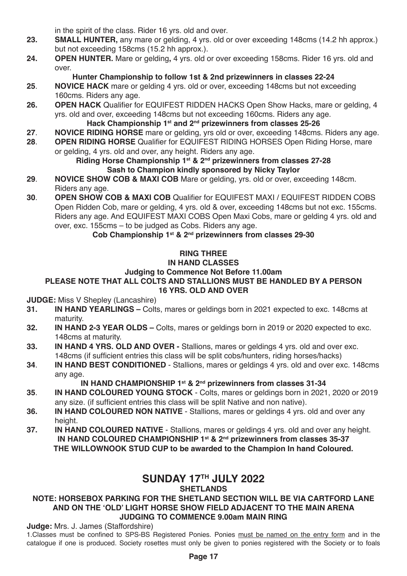in the spirit of the class. Rider 16 yrs. old and over.

- **23. SMALL HUNTER,** any mare or gelding, 4 yrs. old or over exceeding 148cms (14.2 hh approx.) but not exceeding 158cms (15.2 hh approx.).
- **24. OPEN HUNTER.** Mare or gelding**,** 4 yrs. old or over exceeding 158cms. Rider 16 yrs. old and over.

### **Hunter Championship to follow 1st & 2nd prizewinners in classes 22-24**

- **25**. **NOVICE HACK** mare or gelding 4 yrs. old or over, exceeding 148cms but not exceeding 160cms. Riders any age.
- **26. OPEN HACK** Qualifier for EQUIFEST RIDDEN HACKS Open Show Hacks, mare or gelding, 4 yrs. old and over, exceeding 148cms but not exceeding 160cms. Riders any age.
	- Hack Championship 1<sup>st</sup> and 2<sup>nd</sup> prizewinners from classes 25-26
- **27**. **NOVICE RIDING HORSE** mare or gelding, yrs old or over, exceeding 148cms. Riders any age. **28. <b>OPEN RIDING HORSE** Qualifier for EQUIFEST RIDING HORSES Open Riding Horse, mare
- or gelding, 4 yrs. old and over, any height. Riders any age.

#### **Riding Horse Championship 1st & 2nd prizewinners from classes 27-28 Sash to Champion kindly sponsored by Nicky Taylor**

- **29**. **NOVICE SHOW COB & MAXI COB** Mare or gelding, yrs. old or over, exceeding 148cm. Riders any age.
- **30**. **OPEN SHOW COB & MAXI COB** Qualifier for EQUIFEST MAXI / EQUIFEST RIDDEN COBS Open Ridden Cob, mare or gelding, 4 yrs. old & over, exceeding 148cms but not exc. 155cms. Riders any age. And EQUIFEST MAXI COBS Open Maxi Cobs, mare or gelding 4 yrs. old and over, exc. 155cms – to be judged as Cobs. Riders any age.

### **Cob Championship 1st & 2nd prizewinners from classes 29-30**

# **RING THREE**

# **IN HAND CLASSES**

### **Judging to Commence Not Before 11.00am**

#### **PLEASE NOTE THAT ALL COLTS AND STALLIONS MUST BE HANDLED BY A PERSON 16 YRS. OLD AND OVER**

**JUDGE:** Miss V Shepley (Lancashire)

- **31. IN HAND YEARLINGS** Colts, mares or geldings born in 2021 expected to exc. 148cms at maturity.
- **32. IN HAND 2-3 YEAR OLDS** Colts, mares or geldings born in 2019 or 2020 expected to exc. 148cms at maturity.
- **33. IN HAND 4 YRS. OLD AND OVER** Stallions, mares or geldings 4 yrs. old and over exc. 148cms (if sufficient entries this class will be split cobs/hunters, riding horses/hacks)
- **34**. **IN HAND BEST CONDITIONED** Stallions, mares or geldings 4 yrs. old and over exc. 148cms any age.

### IN HAND CHAMPIONSHIP 1<sup>st</sup> & 2<sup>nd</sup> prizewinners from classes 31-34

- **35**. **IN HAND COLOURED YOUNG STOCK** Colts, mares or geldings born in 2021, 2020 or 2019 any size. (if sufficient entries this class will be split Native and non native).
- **36. IN HAND COLOURED NON NATIVE** Stallions, mares or geldings 4 yrs. old and over any height
- **37. IN HAND COLOURED NATIVE** Stallions, mares or geldings 4 yrs. old and over any height. IN HAND COLOURED CHAMPIONSHIP 1<sup>st</sup> & 2<sup>nd</sup> prizewinners from classes 35-37 **THE WILLOWNOOK STUD CUP to be awarded to the Champion In hand Coloured.**

# **SUNDAY 17TH JULY 2022**

### **SHETLANDS**

#### **NOTE: HORSEBOX PARKING FOR THE SHETLAND SECTION WILL BE VIA CARTFORD LANE AND ON THE 'OLD' LIGHT HORSE SHOW FIELD ADJACENT TO THE MAIN ARENA JUDGING TO COMMENCE 9.00am MAIN RING**

#### **Judge:** Mrs. J. James (Staffordshire)

1.Classes must be confined to SPS-BS Registered Ponies. Ponies must be named on the entry form and in the catalogue if one is produced. Society rosettes must only be given to ponies registered with the Society or to foals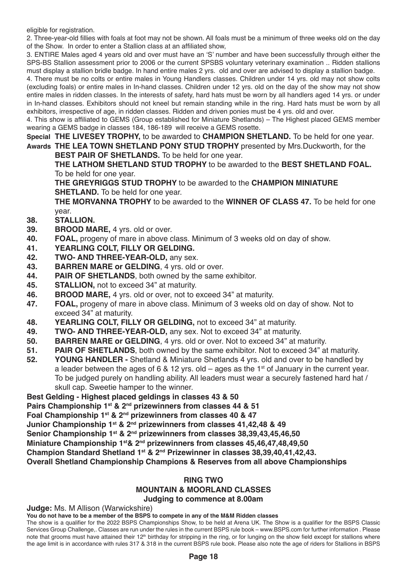eligible for registration.

2. Three-year-old fillies with foals at foot may not be shown. All foals must be a minimum of three weeks old on the day of the Show. In order to enter a Stallion class at an affiliated show,

3. ENTIRE Males aged 4 years old and over must have an 'S' number and have been successfully through either the SPS-BS Stallion assessment prior to 2006 or the current SPSBS voluntary veterinary examination .. Ridden stallions must display a stallion bridle badge. In hand entire males 2 yrs. old and over are advised to display a stallion badge.

4. There must be no colts or entire males in Young Handlers classes. Children under 14 yrs. old may not show colts (excluding foals) or entire males in In-hand classes. Children under 12 yrs. old on the day of the show may not show entire males in ridden classes. In the interests of safety, hard hats must be worn by all handlers aged 14 yrs. or under in In-hand classes. Exhibitors should not kneel but remain standing while in the ring. Hard hats must be worn by all exhibitors, irrespective of age, in ridden classes. Ridden and driven ponies must be 4 yrs. old and over.

4. This show is affiliated to GEMS (Group established for Miniature Shetlands) – The Highest placed GEMS member wearing a GEMS badge in classes 184, 186-189 will receive a GEMS rosette.

**Special THE LIVESEY TROPHY,** to be awarded to **CHAMPION SHETLAND.** To be held for one year.

**Awards THE LEA TOWN SHETLAND PONY STUD TROPHY** presented by Mrs.Duckworth, for the **BEST PAIR OF SHETLANDS.** To be held for one year.

**THE LATHOM SHETLAND STUD TROPHY** to be awarded to the **BEST SHETLAND FOAL.** To be held for one year.

**THE GREYRIGGS STUD TROPHY** to be awarded to the **CHAMPION MINIATURE SHETLAND.** To be held for one year.

**THE MORVANNA TROPHY** to be awarded to the **WINNER OF CLASS 47.** To be held for one year.

- **38. STALLION.**
- **39. BROOD MARE,** 4 yrs. old or over.
- **FOAL,** progeny of mare in above class. Minimum of 3 weeks old on day of show.
- **41. YEARLING COLT, FILLY OR GELDING.**
- **42. TWO- AND THREE-YEAR-OLD,** any sex.
- **43. BARREN MARE or GELDING**, 4 yrs. old or over.<br>**44. PAIR OF SHETI ANDS** both owned by the same
- PAIR OF SHETLANDS, both owned by the same exhibitor.
- **45. STALLION,** not to exceed 34" at maturity.
- **46. BROOD MARE,** 4 yrs. old or over, not to exceed 34" at maturity.
- **47. FOAL,** progeny of mare in above class. Minimum of 3 weeks old on day of show. Not to exceed 34" at maturity.
- **48. YEARLING COLT, FILLY OR GELDING,** not to exceed 34" at maturity.
- **49. TWO- AND THREE-YEAR-OLD,** any sex. Not to exceed 34" at maturity.
- **BARREN MARE or GELDING**, 4 yrs. old or over. Not to exceed 34" at maturity.
- **51. PAIR OF SHETLANDS**, both owned by the same exhibitor. Not to exceed 34" at maturity.<br>**52. YOUNG HANDLER** Shetland & Miniature Shetlands 4 vrs. old and over to be handled by
- **52. YOUNG HANDLER** Shetland & Miniature Shetlands 4 yrs. old and over to be handled by a leader between the ages of 6 & 12 yrs. old – ages as the 1<sup>st</sup> of January in the current year. To be judged purely on handling ability. All leaders must wear a securely fastened hard hat / skull cap. Sweetie hamper to the winner.

**Best Gelding - Highest placed geldings in classes 43 & 50**

**Pairs Championship 1st & 2nd prizewinners from classes 44 & 51**

**Foal Championship 1st & 2nd prizewinners from classes 40 & 47**

**Junior Championship 1st & 2nd prizewinners from classes 41,42,48 & 49**

**Senior Championship 1st & 2nd prizewinners from classes 38,39,43,45,46,50**

**Miniature Championship 1st& 2nd prizewinners from classes 45,46,47,48,49,50**

**Champion Standard Shetland 1st & 2nd Prizewinner in classes 38,39,40,41,42,43.**

**Overall Shetland Championship Champions & Reserves from all above Championships** 

# **RING TWO**

#### **MOUNTAIN & MOORLAND CLASSES Judging to commence at 8.00am**

**Judge:** Ms. M Allison (Warwickshire)

**You do not have to be a member of the BSPS to compete in any of the M&M Ridden classes**

The show is a qualifier for the 2022 BSPS Championships Show, to be held at Arena UK. The Show is a qualifier for the BSPS Classic Services Group Challenge,. Classes are run under the rules in the current BSPS rule book – www.BSPS.com for further information . Please note that grooms must have attained their 12<sup>th</sup> birthday for stripping in the ring, or for lunging on the show field except for stallions where the age limit is in accordance with rules 317 & 318 in the current BSPS rule book. Please also note the age of riders for Stallions in BSPS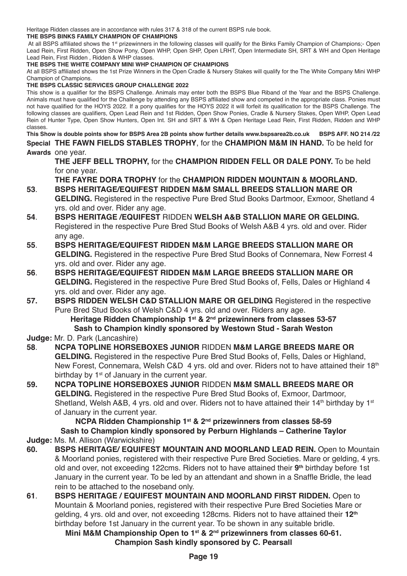Heritage Ridden classes are in accordance with rules 317 & 318 of the current BSPS rule book.

#### **THE BSPS BINKS FAMILY CHAMPION OF CHAMPIONS**

At all BSPS affiliated shows the 1<sup>st</sup> prizewinners in the following classes will qualify for the Binks Family Champion of Champions;- Open Lead Rein, First Ridden, Open Show Pony, Open WHP, Open SHP, Open LRHT, Open Intermediate SH, SRT & WH and Open Heritage Lead Rein, First Ridden , Ridden & WHP classes.

#### **THE BSPS THE WHITE COMPANY MINI WHP CHAMPION OF CHAMPIONS**

At all BSPS affiliated shows the 1st Prize Winners in the Open Cradle & Nursery Stakes will qualify for the The White Company Mini WHP Champion of Champions.

#### **THE BSPS CLASSIC SERVICES GROUP CHALLENGE 2022**

This show is a qualifier for the BSPS Challenge. Animals may enter both the BSPS Blue Riband of the Year and the BSPS Challenge. Animals must have qualified for the Challenge by attending any BSPS affiliated show and competed in the appropriate class. Ponies must not have qualified for the HOYS 2022. If a pony qualifies for the HOYS 2022 it will forfeit its qualification for the BSPS Challenge. The following classes are qualifiers, Open Lead Rein and 1st Ridden, Open Show Ponies, Cradle & Nursery Stakes, Open WHP, Open Lead Rein of Hunter Type, Open Show Hunters, Open Int. SH and SRT & WH & Open Heritage Lead Rein, First Ridden, Ridden and WHP classes.

**This Show is double points show for BSPS Area 2B points show further details www.bspsarea2b.co.uk BSPS AFF. NO 214 /22 Special THE FAWN FIELDS STABLES TROPHY**, for the **CHAMPION M&M IN HAND.** To be held for **Awards** one year.

**THE JEFF BELL TROPHY,** for the **CHAMPION RIDDEN FELL OR DALE PONY.** To be held for one year.

**THE FAYRE DORA TROPHY** for the **CHAMPION RIDDEN MOUNTAIN & MOORLAND. 53**. **BSPS HERITAGE/EQUIFEST RIDDEN M&M SMALL BREEDS STALLION MARE OR**

- **GELDING.** Registered in the respective Pure Bred Stud Books Dartmoor, Exmoor, Shetland 4 yrs. old and over. Rider any age.
- **54**. **BSPS HERITAGE /EQUIFEST** RIDDEN **WELSH A&B STALLION MARE OR GELDING.** Registered in the respective Pure Bred Stud Books of Welsh A&B 4 yrs. old and over. Rider any age.
- **55**. **BSPS HERITAGE/EQUIFEST RIDDEN M&M LARGE BREEDS STALLION MARE OR GELDING.** Registered in the respective Pure Bred Stud Books of Connemara, New Forrest 4 yrs. old and over. Rider any age.
- **56**. **BSPS HERITAGE/EQUIFEST RIDDEN M&M LARGE BREEDS STALLION MARE OR GELDING.** Registered in the respective Pure Bred Stud Books of, Fells, Dales or Highland 4 yrs. old and over. Rider any age.
- **57. BSPS RIDDEN WELSH C&D STALLION MARE OR GELDING** Registered in the respective Pure Bred Stud Books of Welsh C&D 4 yrs. old and over. Riders any age. **Heritage Ridden Championship 1st & 2nd prizewinners from classes 53-57**

# **Sash to Champion kindly sponsored by Westown Stud - Sarah Weston**

**Judge:** Mr. D. Park (Lancashire)

- **58**. **NCPA TOPLINE HORSEBOXES JUNIOR** RIDDEN **M&M LARGE BREEDS MARE OR GELDING.** Registered in the respective Pure Bred Stud Books of, Fells, Dales or Highland, New Forest, Connemara, Welsh C&D 4 yrs. old and over. Riders not to have attained their 18th birthday by  $1<sup>st</sup>$  of January in the current year.
- **59. NCPA TOPLINE HORSEBOXES JUNIOR** RIDDEN **M&M SMALL BREEDS MARE OR GELDING.** Registered in the respective Pure Bred Stud Books of, Exmoor, Dartmoor, Shetland, Welsh A&B, 4 yrs. old and over. Riders not to have attained their 14<sup>th</sup> birthday by 1<sup>st</sup> of January in the current year.

**NCPA Ridden Championship 1st & 2nd prizewinners from classes 58-59 Sash to Champion kindly sponsored by Perburn Highlands – Catherine Taylor**

- **Judge:** Ms. M. Allison (Warwickshire)
- **60. BSPS HERITAGE/ EQUIFEST MOUNTAIN AND MOORLAND LEAD REIN.** Open to Mountain & Moorland ponies, registered with their respective Pure Bred Societies. Mare or gelding, 4 yrs. old and over, not exceeding 122cms. Riders not to have attained their **9th** birthday before 1st January in the current year. To be led by an attendant and shown in a Snaffle Bridle, the lead rein to be attached to the noseband only.
- **61**. **BSPS HERITAGE / EQUIFEST MOUNTAIN AND MOORLAND FIRST RIDDEN.** Open to Mountain & Moorland ponies, registered with their respective Pure Bred Societies Mare or gelding, 4 yrs. old and over, not exceeding 128cms. Riders not to have attained their **12th** birthday before 1st January in the current year. To be shown in any suitable bridle.

**Mini M&M Championship Open to 1st & 2nd prizewinners from classes 60-61. Champion Sash kindly sponsored by C. Pearsall**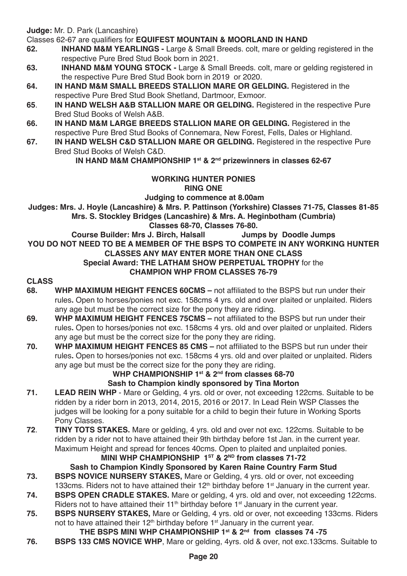**Judge:** Mr. D. Park (Lancashire)

Classes 62-67 are qualifiers for **EQUIFEST MOUNTAIN & MOORLAND IN HAND**

- **62. INHAND M&M YEARLINGS** Large & Small Breeds. colt, mare or gelding registered in the respective Pure Bred Stud Book born in 2021.
- **63. INHAND M&M YOUNG STOCK** Large & Small Breeds. colt, mare or gelding registered in the respective Pure Bred Stud Book born in 2019 or 2020.
- **64. IN HAND M&M SMALL BREEDS STALLION MARE OR GELDING.** Registered in the respective Pure Bred Stud Book Shetland, Dartmoor, Exmoor.
- **65**. **IN HAND WELSH A&B STALLION MARE OR GELDING.** Registered in the respective Pure Bred Stud Books of Welsh A&B.
- **66. IN HAND M&M LARGE BREEDS STALLION MARE OR GELDING.** Registered in the respective Pure Bred Stud Books of Connemara, New Forest, Fells, Dales or Highland.
- **67. IN HAND WELSH C&D STALLION MARE OR GELDING.** Registered in the respective Pure Bred Stud Books of Welsh C&D.

**IN HAND M&M CHAMPIONSHIP 1st & 2nd prizewinners in classes 62-67**

#### **WORKING HUNTER PONIES RING ONE**

**Judging to commence at 8.00am**

**Judges: Mrs. J. Hoyle (Lancashire) & Mrs. P. Pattinson (Yorkshire) Classes 71-75, Classes 81-85 Mrs. S. Stockley Bridges (Lancashire) & Mrs. A. Heginbotham (Cumbria)**

## **Classes 68-70, Classes 76-80. Course Builder: Mrs J. Birch, Halsall**

**YOU DO NOT NEED TO BE A MEMBER OF THE BSPS TO COMPETE IN ANY WORKING HUNTER CLASSES ANY MAY ENTER MORE THAN ONE CLASS Special Award: THE LATHAM SHOW PERPETUAL TROPHY** for the **CHAMPION WHP FROM CLASSES 76-79**

# **CLASS**

- **68. WHP MAXIMUM HEIGHT FENCES 60CMS** not affiliated to the BSPS but run under their rules**.** Open to horses/ponies not exc. 158cms 4 yrs. old and over plaited or unplaited. Riders any age but must be the correct size for the pony they are riding.
- **69. WHP MAXIMUM HEIGHT FENCES 75CMS** not affiliated to the BSPS but run under their rules**.** Open to horses/ponies not exc. 158cms 4 yrs. old and over plaited or unplaited. Riders any age but must be the correct size for the pony they are riding.
- **70. WHP MAXIMUM HEIGHT FENCES 85 CMS** not affiliated to the BSPS but run under their rules**.** Open to horses/ponies not exc. 158cms 4 yrs. old and over plaited or unplaited. Riders any age but must be the correct size for the pony they are riding.

#### WHP CHAMPIONSHIP 1<sup>st</sup> & 2<sup>nd</sup> from classes 68-70 **Sash to Champion kindly sponsored by Tina Morton**

- **71. LEAD REIN WHP** Mare or Gelding, 4 yrs. old or over, not exceeding 122cms. Suitable to be ridden by a rider born in 2013, 2014, 2015, 2016 or 2017. In Lead Rein WSP Classes the judges will be looking for a pony suitable for a child to begin their future in Working Sports Pony Classes.
- **72**. **TINY TOTS STAKES.** Mare or gelding, 4 yrs. old and over not exc. 122cms. Suitable to be ridden by a rider not to have attained their 9th birthday before 1st Jan. in the current year. Maximum Height and spread for fences 40cms. Open to plaited and unplaited ponies.

### **MINI WHP CHAMPIONSHIP 1ST & 2ND from classes 71-72**

**Sash to Champion Kindly Sponsored by Karen Raine Country Farm Stud 73. BSPS NOVICE NURSERY STAKES,** Mare or Gelding, 4 yrs. old or over, not exceeding

- 133cms. Riders not to have attained their  $12<sup>th</sup>$  birthday before 1<sup>st</sup> January in the current year.
- **74. BSPS OPEN CRADLE STAKES.** Mare or gelding, 4 yrs. old and over, not exceeding 122cms. Riders not to have attained their 11<sup>th</sup> birthday before 1<sup>st</sup> January in the current year.
- **75. BSPS NURSERY STAKES,** Mare or Gelding, 4 yrs. old or over, not exceeding 133cms. Riders not to have attained their 12<sup>th</sup> birthday before 1<sup>st</sup> January in the current year.

### **THE BSPS MINI WHP CHAMPIONSHIP 1st & 2nd from classes 74 -75**

**76. BSPS 133 CMS NOVICE WHP**, Mare or gelding, 4yrs. old & over, not exc.133cms. Suitable to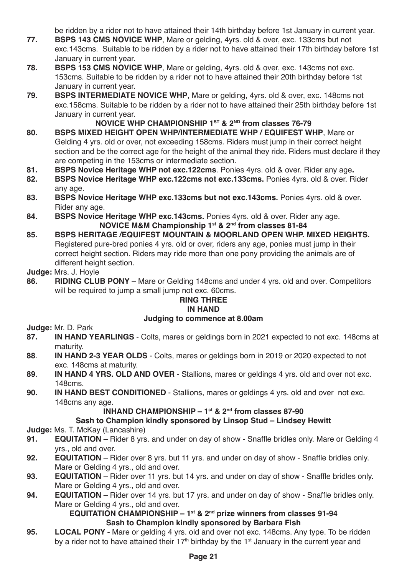be ridden by a rider not to have attained their 14th birthday before 1st January in current year.

- **77. BSPS 143 CMS NOVICE WHP**, Mare or gelding, 4yrs. old & over, exc. 133cms but not exc.143cms. Suitable to be ridden by a rider not to have attained their 17th birthday before 1st January in current year.
- **78. BSPS 153 CMS NOVICE WHP**, Mare or gelding, 4yrs. old & over, exc. 143cms not exc. 153cms. Suitable to be ridden by a rider not to have attained their 20th birthday before 1st January in current year.
- **79. BSPS INTERMEDIATE NOVICE WHP**, Mare or gelding, 4yrs. old & over, exc. 148cms not exc.158cms. Suitable to be ridden by a rider not to have attained their 25th birthday before 1st January in current year.

### **NOVICE WHP CHAMPIONSHIP 1ST & 2ND from classes 76-79**

- **80. BSPS MIXED HEIGHT OPEN WHP/INTERMEDIATE WHP / EQUIFEST WHP**, Mare or Gelding 4 yrs. old or over, not exceeding 158cms. Riders must jump in their correct height section and be the correct age for the height of the animal they ride. Riders must declare if they are competing in the 153cms or intermediate section.
- **81. BSPS Novice Heritage WHP not exc.122cms**. Ponies 4yrs. old & over. Rider any age**.**
- **82. BSPS Novice Heritage WHP exc.122cms not exc.133cms.** Ponies 4yrs. old & over. Rider any age.
- **83. BSPS Novice Heritage WHP exc.133cms but not exc.143cms.** Ponies 4yrs. old & over. Rider any age.
- **84. BSPS Novice Heritage WHP exc.143cms.** Ponies 4yrs. old & over. Rider any age. **NOVICE M&M Championship 1st & 2nd from classes 81-84**
- **85. BSPS HERITAGE /EQUIFEST MOUNTAIN & MOORLAND OPEN WHP. MIXED HEIGHTS.** Registered pure-bred ponies 4 yrs. old or over, riders any age, ponies must jump in their correct height section. Riders may ride more than one pony providing the animals are of different height section.

# **Judge:** Mrs. J. Hoyle

**86. RIDING CLUB PONY** – Mare or Gelding 148cms and under 4 yrs. old and over. Competitors will be required to jump a small jump not exc. 60cms.

#### **RING THREE IN HAND**

#### **Judging to commence at 8.00am**

**Judge: Mr. D. Park**<br>87. **IN HAND Y** 

- **87. IN HAND YEARLINGS** Colts, mares or geldings born in 2021 expected to not exc. 148cms at maturity.
- **88**. **IN HAND 2-3 YEAR OLDS** Colts, mares or geldings born in 2019 or 2020 expected to not exc. 148cms at maturity.
- **89**. **IN HAND 4 YRS. OLD AND OVER** Stallions, mares or geldings 4 yrs. old and over not exc. 148cms.
- **90. IN HAND BEST CONDITIONED** Stallions, mares or geldings 4 yrs. old and over not exc. 148cms any age.

#### **INHAND CHAMPIONSHIP – 1st & 2nd from classes 87-90**

### **Sash to Champion kindly sponsored by Linsop Stud – Lindsey Hewitt**

**Judge:** Ms. T. McKay (Lancashire)

- **91. EQUITATION** Rider 8 yrs. and under on day of show Snaffle bridles only. Mare or Gelding 4 yrs., old and over.
- **92. EQUITATION** Rider over 8 yrs. but 11 yrs. and under on day of show Snaffle bridles only. Mare or Gelding 4 yrs., old and over.
- **93. EQUITATION** Rider over 11 yrs. but 14 yrs. and under on day of show Snaffle bridles only. Mare or Gelding 4 yrs., old and over.
- **94. EQUITATION** Rider over 14 yrs. but 17 yrs. and under on day of show Snaffle bridles only. Mare or Gelding 4 yrs., old and over.

**EQUITATION CHAMPIONSHIP – 1st & 2nd prize winners from classes 91-94 Sash to Champion kindly sponsored by Barbara Fish** 

**95. LOCAL PONY -** Mare or gelding 4 yrs. old and over not exc. 148cms. Any type. To be ridden by a rider not to have attained their 17<sup>th</sup> birthday by the 1<sup>st</sup> January in the current year and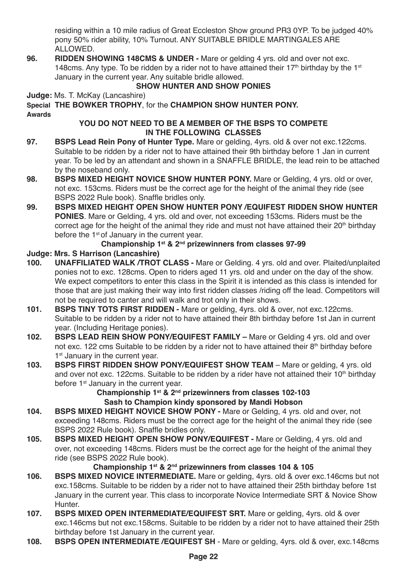residing within a 10 mile radius of Great Eccleston Show ground PR3 0YP. To be judged 40% pony 50% rider ability, 10% Turnout. ANY SUITABLE BRIDLE MARTINGALES ARE ALLOWED.

**96. RIDDEN SHOWING 148CMS & UNDER -** Mare or gelding 4 yrs. old and over not exc. 148cms. Any type. To be ridden by a rider not to have attained their 17<sup>th</sup> birthday by the 1<sup>st</sup> January in the current year. Any suitable bridle allowed.

### **SHOW HUNTER AND SHOW PONIES**

**Judge:** Ms. T. McKay (Lancashire)

**Special THE BOWKER TROPHY**, for the **CHAMPION SHOW HUNTER PONY. Awards**

#### **YOU DO NOT NEED TO BE A MEMBER OF THE BSPS TO COMPETE IN THE FOLLOWING CLASSES**

- **97. BSPS Lead Rein Pony of Hunter Type.** Mare or gelding, 4yrs. old & over not exc.122cms. Suitable to be ridden by a rider not to have attained their 9th birthday before 1 Jan in current year. To be led by an attendant and shown in a SNAFFLE BRIDLE, the lead rein to be attached by the noseband only.
- **98. BSPS MIXED HEIGHT NOVICE SHOW HUNTER PONY.** Mare or Gelding, 4 yrs. old or over, not exc. 153cms. Riders must be the correct age for the height of the animal they ride (see BSPS 2022 Rule book). Snaffle bridles only.
- **99. BSPS MIXED HEIGHT OPEN SHOW HUNTER PONY /EQUIFEST RIDDEN SHOW HUNTER PONIES**. Mare or Gelding, 4 yrs. old and over, not exceeding 153cms. Riders must be the correct age for the height of the animal they ride and must not have attained their  $20<sup>th</sup>$  birthday before the 1st of January in the current year.

### **Championship 1st & 2nd prizewinners from classes 97-99**

# **Judge: Mrs. S Harrison (Lancashire)**

- **100. UNAFFILIATED WALK /TROT CLASS -** Mare or Gelding. 4 yrs. old and over. Plaited/unplaited ponies not to exc. 128cms. Open to riders aged 11 yrs. old and under on the day of the show. We expect competitors to enter this class in the Spirit it is intended as this class is intended for those that are just making their way into first ridden classes /riding off the lead. Competitors will not be required to canter and will walk and trot only in their shows.
- **101. BSPS TINY TOTS FIRST RIDDEN** Mare or gelding, 4yrs. old & over, not exc.122cms. Suitable to be ridden by a rider not to have attained their 8th birthday before 1st Jan in current year. (Including Heritage ponies).
- **102. BSPS LEAD REIN SHOW PONY/EQUIFEST FAMILY** Mare or Gelding 4 yrs. old and over not exc. 122 cms Suitable to be ridden by a rider not to have attained their 8th birthday before 1<sup>st</sup> January in the current year.
- **103. BSPS FIRST RIDDEN SHOW PONY/EQUIFEST SHOW TEAM Mare or gelding, 4 yrs. old** and over not exc. 122cms. Suitable to be ridden by a rider have not attained their 10<sup>th</sup> birthday before 1<sup>st</sup> January in the current year.

### **Championship 1st & 2nd prizewinners from classes 102-103 Sash to Champion kindy sponsored by Mandi Hobson**

- **104. BSPS MIXED HEIGHT NOVICE SHOW PONY** Mare or Gelding, 4 yrs. old and over, not exceeding 148cms. Riders must be the correct age for the height of the animal they ride (see BSPS 2022 Rule book). Snaffle bridles only.
- **105. BSPS MIXED HEIGHT OPEN SHOW PONY/EQUIFEST** Mare or Gelding, 4 yrs. old and over, not exceeding 148cms. Riders must be the correct age for the height of the animal they ride (see BSPS 2022 Rule book).

### **Championship 1st & 2nd prizewinners from classes 104 & 105**

- **106. BSPS MIXED NOVICE INTERMEDIATE.** Mare or gelding, 4yrs. old & over exc.146cms but not exc.158cms. Suitable to be ridden by a rider not to have attained their 25th birthday before 1st January in the current year. This class to incorporate Novice Intermediate SRT & Novice Show Hunter.
- **107. BSPS MIXED OPEN INTERMEDIATE/EQUIFEST SRT.** Mare or gelding, 4yrs. old & over exc.146cms but not exc.158cms. Suitable to be ridden by a rider not to have attained their 25th birthday before 1st January in the current year.
- **108. BSPS OPEN INTERMEDIATE /EQUIFEST SH**  Mare or gelding, 4yrs. old & over, exc.148cms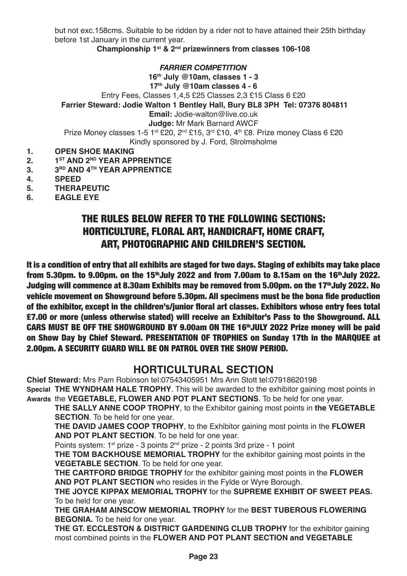but not exc.158cms. Suitable to be ridden by a rider not to have attained their 25th birthday before 1st January in the current year.

**Championship 1st & 2nd prizewinners from classes 106-108**

*FARRIER COMPETITION*

**16th July @10am, classes 1 - 3 17th July @10am classes 4 - 6** Entry Fees, Classes 1,4,5 £25 Classes 2,3 £15 Class 6 £20  **Farrier Steward: Jodie Walton 1 Bentley Hall, Bury BL8 3PH Tel: 07376 804811 Email:** Jodie-walton@live.co.uk **Judge:** Mr Mark Barnard AWCF Prize Money classes 1-5 1<sup>st</sup> £20, 2<sup>nd</sup> £15, 3<sup>rd</sup> £10, 4<sup>th</sup> £8. Prize money Class 6 £20

Kindly sponsored by J. Ford, Strolmsholme

- **1. OPEN SHOE MAKING**<br>2 **1<sup>ST</sup> AND 2<sup>ND</sup> YFAR APP**
- **2. 1ST AND 2<sup>ND</sup> YEAR APPRENTICE**<br>**3. 3<sup>RD</sup> AND 4<sup>TH</sup> YEAR APPRENTICE**
- **3. 3RD AND 4TH YEAR APPRENTICE**<br>**4. SPEED**
- **4. SPEED**
- **5. THERAPEUTIC**
- **6. EAGLE EYE**

# THE RULES BELOW REFER TO THE FOLLOWING SECTIONS: HORTICULTURE, FLORAL ART, HANDICRAFT, HOME CRAFT, ART, PHOTOGRAPHIC AND CHILDREN'S SECTION.

It is a condition of entry that all exhibits are staged for two days. Staging of exhibits may take place from 5.30pm. to 9.00pm. on the 15<sup>th</sup>July 2022 and from 7.00am to 8.15am on the 16<sup>th</sup>July 2022. Judging will commence at 8.30am Exhibits may be removed from 5.00pm, on the 17<sup>th</sup>July 2022, No vehicle movement on Showground before 5.30pm. All specimens must be the bona fide production of the exhibitor, except in the children's/junior floral art classes. Exhibitors whose entry fees total £7.00 or more (unless otherwise stated) will receive an Exhibitor's Pass to the Showground. ALL CARS MUST BE OFF THE SHOWGROUND BY 9.00am ON THE 16thJULY 2022 Prize money will be paid on Show Day by Chief Steward. PRESENTATION OF TROPHIES on Sunday 17th in the MARQUEE at 2.00pm. A SECURITY GUARD WILL BE ON PATROL OVER THE SHOW PERIOD.

### **HORTICULTURAL SECTION**

**Chief Steward:** Mrs Pam Robinson tel:07543405951 Mrs Ann Stott tel:07918620198

**Special THE WYNDHAM HALE TROPHY**. This will be awarded to the exhibitor gaining most points in **Awards** the **VEGETABLE, FLOWER AND POT PLANT SECTIONS**. To be held for one year.

**THE SALLY ANNE COOP TROPHY**, to the Exhibitor gaining most points in **the VEGETABLE SECTION**. To be held for one year.

**THE DAVID JAMES COOP TROPHY**, to the Exhibitor gaining most points in the **FLOWER AND POT PLANT SECTION**. To be held for one year.

Points system: 1<sup>st</sup> prize - 3 points 2<sup>nd</sup> prize - 2 points 3rd prize - 1 point

**THE TOM BACKHOUSE MEMORIAL TROPHY** for the exhibitor gaining most points in the **VEGETABLE SECTION**. To be held for one year.

**THE CARTFORD BRIDGE TROPHY** for the exhibitor gaining most points in the **FLOWER AND POT PLANT SECTION** who resides in the Fylde or Wyre Borough.

**THE JOYCE KIPPAX MEMORIAL TROPHY** for the **SUPREME EXHIBIT OF SWEET PEAS.** To be held for one year.

**THE GRAHAM AINSCOW MEMORIAL TROPHY** for the **BEST TUBEROUS FLOWERING BEGONIA.** To be held for one year.

**THE GT. ECCLESTON & DISTRICT GARDENING CLUB TROPHY** for the exhibitor gaining most combined points in the **FLOWER AND POT PLANT SECTION and VEGETABLE**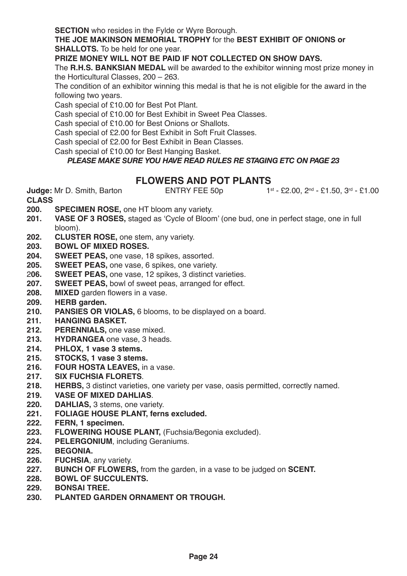**SECTION** who resides in the Fylde or Wyre Borough.

**THE JOE MAKINSON MEMORIAL TROPHY** for the **BEST EXHIBIT OF ONIONS or SHALLOTS.** To be held for one year.

**PRIZE MONEY WILL NOT BE PAID IF NOT COLLECTED ON SHOW DAYS.**

The **R.H.S. BANKSIAN MEDAL** will be awarded to the exhibitor winning most prize money in the Horticultural Classes, 200 – 263.

The condition of an exhibitor winning this medal is that he is not eligible for the award in the following two years.

Cash special of £10.00 for Best Pot Plant.

Cash special of £10.00 for Best Exhibit in Sweet Pea Classes.

Cash special of £10.00 for Best Onions or Shallots.

Cash special of £2.00 for Best Exhibit in Soft Fruit Classes.

Cash special of £2.00 for Best Exhibit in Bean Classes.

Cash special of £10.00 for Best Hanging Basket.

#### *PLEASE MAKE SURE YOU HAVE READ RULES RE STAGING ETC ON PAGE 23*

# **FLOWERS AND POT PLANTS**<br>**ENTRY FEE 50p**

**Judge:** Mr D. Smith, Barton **ENTRY FEE 50p** 1st - £2.00, 2<sup>nd</sup> - £1.50, 3<sup>rd</sup> - £1.00

- **200. SPECIMEN ROSE, one HT bloom any variety.**<br>**201. VASE OF 3 ROSES.** staged as 'Cycle of Bloom
- **201. VASE OF 3 ROSES,** staged as 'Cycle of Bloom' (one bud, one in perfect stage, one in full bloom).
- **202. CLUSTER ROSE,** one stem, any variety.
- **203. BOWL OF MIXED ROSES.**
- **204. SWEET PEAS,** one vase, 18 spikes, assorted.
- **205. SWEET PEAS,** one vase, 6 spikes, one variety.
- 2**06. SWEET PEAS,** one vase, 12 spikes, 3 distinct varieties.
- 207. **SWEET PEAS**, bowl of sweet peas, arranged for effect.<br>208. MIXED garden flowers in a vase.
- 208. **MIXED** garden flowers in a vase.<br>209. **HERB** garden.
- 
- **209. HERB garden. PANSIES OR VIOLAS, 6 blooms, to be displayed on a board.**
- **211. HANGING BASKET.**
- 212. **PERENNIALS**, one vase mixed.<br>213. **HYDRANGEA** one vase. 3 head
- **213. HYDRANGEA** one vase, 3 heads.
- **214. PHLOX, 1 vase 3 stems.**
- **215. STOCKS, 1 vase 3 stems.**
- 216. **FOUR HOSTA LEAVES, in a vase.**<br>217. **SIX FUCHSIA FLORETS**.
- **217. SIX FUCHSIA FLORETS**.
- **218. HERBS,** 3 distinct varieties, one variety per vase, oasis permitted, correctly named.
- **219. VASE OF MIXED DAHLIAS**.
- **220. DAHLIAS, 3 stems, one variety.**<br>**221. FOLIAGE HOUSE PLANT. fern**
- **221. FOLIAGE HOUSE PLANT, ferns excluded.**
- **222. FERN, 1 specimen.**
- **223. FLOWERING HOUSE PLANT,** (Fuchsia/Begonia excluded).
- **224. PELERGONIUM**, including Geraniums.
- **225. BEGONIA.**
- **226. FUCHSIA**, any variety.
- **227. BUNCH OF FLOWERS,** from the garden, in a vase to be judged on **SCENT.**
- **228. BOWL OF SUCCULENTS.**
- **229. BONSAI TREE.**
- **230. PLANTED GARDEN ORNAMENT OR TROUGH.**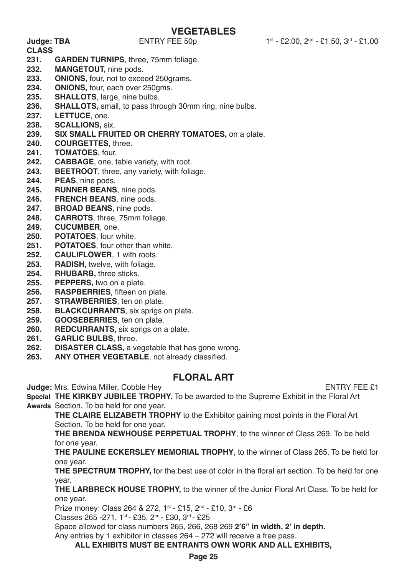# **VEGETABLES**<br>ENTRY FEE 50p

- **CLASS 231. GARDEN TURNIPS**, three, 75mm foliage.
- **232. MANGETOUT, nine pods.**<br>**233. ONIONS** four not to exce
- **233. ONIONS**, four, not to exceed 250grams.
- **234. ONIONS,** four, each over 250gms.
- 235. **SHALLOTS**, large, nine bulbs.<br>236. **SHALLOTS**, small, to pass three
- **236. SHALLOTS,** small, to pass through 30mm ring, nine bulbs.
- **237. LETTUCE**, one.
- **238. SCALLIONS,** six.
- **239. SIX SMALL FRUITED OR CHERRY TOMATOES,** on a plate.
- **240. COURGETTES,** three.
- **241. TOMATOES**, four.
- **242. CABBAGE**, one, table variety, with root.<br>**243. BEETROOT** three any variety with folia
- **243. BEETROOT**, three, any variety, with foliage.
- **244. PEAS**, nine pods.
- **245. RUNNER BEANS**, nine pods.
- **246. FRENCH BEANS**, nine pods.
- **247. BROAD BEANS**, nine pods.
- **248. CARROTS**, three, 75mm foliage.
- **249. CUCUMBER**, one.
- **250. POTATOES**, four white.
- **251. POTATOES**, four other than white.
- **252. CAULIFLOWER**, 1 with roots.
- **253. RADISH,** twelve, with foliage.
- **254. RHUBARB,** three sticks.
- **255. PEPPERS,** two on a plate.
- **256. RASPBERRIES**, fifteen on plate.
- **257. STRAWBERRIES**, ten on plate.
- **258. BLACKCURRANTS**, six sprigs on plate.
- **259. GOOSEBERRIES**, ten on plate.
- **260. REDCURRANTS**, six sprigs on a plate.
- **261. GARLIC BULBS**, three.
- **262. DISASTER CLASS,** a vegetable that has gone wrong.
- **263. ANY OTHER VEGETABLE**, not already classified.

### **FLORAL ART**

**Judge:** Mrs. Edwina Miller, Cobble Hey **ENTRY FEE 21** 

**Special THE KIRKBY JUBILEE TROPHY.** To be awarded to the Supreme Exhibit in the Floral Art **Awards** Section. To be held for one year.

**THE CLAIRE ELIZABETH TROPHY** to the Exhibitor gaining most points in the Floral Art Section. To be held for one year.

**THE BRENDA NEWHOUSE PERPETUAL TROPHY**, to the winner of Class 269. To be held for one year.

**THE PAULINE ECKERSLEY MEMORIAL TROPHY**, to the winner of Class 265. To be held for one year.

**THE SPECTRUM TROPHY,** for the best use of color in the floral art section. To be held for one year.

**THE LARBRECK HOUSE TROPHY,** to the winner of the Junior Floral Art Class. To be held for one year.

Prize money: Class 264 & 272, 1<sup>st</sup> - £15, 2<sup>nd</sup> - £10, 3<sup>rd</sup> - £6

Classes 265 -271, 1st - £35, 2nd - £30, 3rd - £25

Space allowed for class numbers 265, 266, 268 269 **2'6" in width, 2' in depth.**

Any entries by 1 exhibitor in classes 264 – 272 will receive a free pass.

**ALL EXHIBITS MUST BE ENTRANTS OWN WORK AND ALL EXHIBITS,**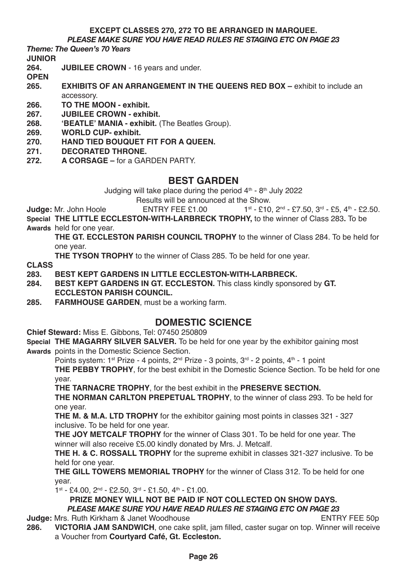# **EXCEPT CLASSES 270, 272 TO BE ARRANGED IN MARQUEE.**

*PLEASE MAKE SURE YOU HAVE READ RULES RE STAGING ETC ON PAGE 23*

*Theme: The Queen's 70 Years*

# **JUNIOR**

- **264. JUBILEE CROWN** 16 years and under.
- **OPEN**
- **265. EXHIBITS OF AN ARRANGEMENT IN THE QUEENS RED BOX exhibit to include an** accessory.
- **266. TO THE MOON exhibit.**
- **267. JUBILEE CROWN exhibit.**
- **268. 'BEATLE' MANIA exhibit.** (The Beatles Group).
- **269. WORLD CUP- exhibit.**
- **270. HAND TIED BOUQUET FIT FOR A QUEEN.**
- **271. DECORATED THRONE.**
- **272. A CORSAGE** for a GARDEN PARTY.

### **BEST GARDEN**

Judging will take place during the period  $4<sup>th</sup>$  -  $8<sup>th</sup>$  July 2022

Results will be announced at the Show.<br>FNTRY FFF  $f100$   $1^{st} - f10$ 

**Judge:** Mr. John Hoole **ENTRY FEE £1.00** 1st - £10, 2nd - £7.50, 3rd - £5, 4th - £2.50

**Special THE LITTLE ECCLESTON-WITH-LARBRECK TROPHY,** to the winner of Class 283**.** To be

**Awards** held for one year.

**THE GT. ECCLESTON PARISH COUNCIL TROPHY** to the winner of Class 284. To be held for one year.

**THE TYSON TROPHY** to the winner of Class 285. To be held for one year.

**CLASS**

# **283. BEST KEPT GARDENS IN LITTLE ECCLESTON-WITH-LARBRECK.**

- **284. BEST KEPT GARDENS IN GT. ECCLESTON.** This class kindly sponsored by **GT. ECCLESTON PARISH COUNCIL.**
- **285. FARMHOUSE GARDEN**, must be a working farm.

### **DOMESTIC SCIENCE**

**Chief Steward:** Miss E. Gibbons, Tel: 07450 250809

**Special THE MAGARRY SILVER SALVER.** To be held for one year by the exhibitor gaining most

**Awards** points in the Domestic Science Section.

Points system: 1<sup>st</sup> Prize - 4 points, 2<sup>nd</sup> Prize - 3 points, 3<sup>rd</sup> - 2 points, 4<sup>th</sup> - 1 point

**THE PEBBY TROPHY**, for the best exhibit in the Domestic Science Section. To be held for one year.

**THE TARNACRE TROPHY**, for the best exhibit in the **PRESERVE SECTION.**

**THE NORMAN CARLTON PREPETUAL TROPHY**, to the winner of class 293. To be held for one year.

**THE M. & M.A. LTD TROPHY** for the exhibitor gaining most points in classes 321 - 327 inclusive. To be held for one year.

**THE JOY METCALF TROPHY** for the winner of Class 301. To be held for one year. The winner will also receive £5.00 kindly donated by Mrs. J. Metcalf.

**THE H. & C. ROSSALL TROPHY** for the supreme exhibit in classes 321-327 inclusive. To be held for one year.

**THE GILL TOWERS MEMORIAL TROPHY** for the winner of Class 312. To be held for one year.

 $1^{st}$  - £4.00,  $2^{nd}$  - £2.50,  $3^{rd}$  - £1.50,  $4^{th}$  - £1.00.

**PRIZE MONEY WILL NOT BE PAID IF NOT COLLECTED ON SHOW DAYS.** *PLEASE MAKE SURE YOU HAVE READ RULES RE STAGING ETC ON PAGE 23*

**Judge:** Mrs. Ruth Kirkham & Janet WoodhouseENTRY FEE 50p

**286. VICTORIA JAM SANDWICH**, one cake split, jam filled, caster sugar on top. Winner will receive a Voucher from **Courtyard Café, Gt. Eccleston.**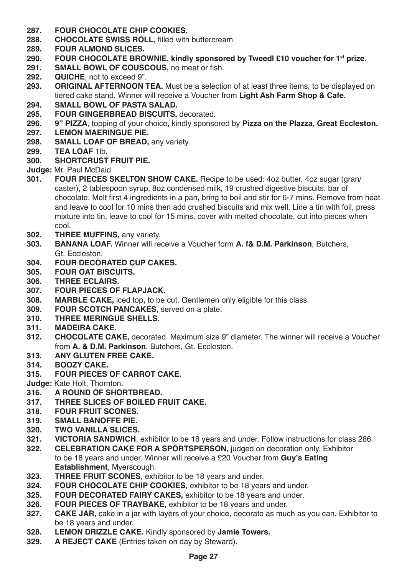- **287. FOUR CHOCOLATE CHIP COOKIES.**
- **288. CHOCOLATE SWISS ROLL,** filled with buttercream.
- **289. FOUR ALMOND SLICES.**
- **290. FOUR CHOCOLATE BROWNIE, kindly sponsored by Tweedl £10 voucher for 1st prize.**
- **291. SMALL BOWL OF COUSCOUS, no meat or fish.**<br>**292. QUICHE** not to exceed 9"
- **292. QUICHE**, not to exceed 9".
- **293. <b>293. 293. 293.** *ORIGINAL AFTERNOON TEA. Must be a selection of at least three items, to be displayed on* tiered cake stand. Winner will receive a Voucher from **Light Ash Farm Shop & Cafe.**
- **294. SMALL BOWL OF PASTA SALAD.**
- **295. FOUR GINGERBREAD BISCUITS,** decorated.
- **296. 9" PIZZA,** topping of your choice, kindly sponsored by **Pizza on the Plazza, Great Eccleston.**
- **297. LEMON MAERINGUE PIE.**
- **298. SMALL LOAF OF BREAD,** any variety.
- **299. TEA LOAF** 1lb.
- **300. SHORTCRUST FRUIT PIE.**

**Judge: Mr. Paul McDaid 301.** FOUR PIECES 9

- **301. FOUR PIECES SKELTON SHOW CAKE.** Recipe to be used: 4oz butter, 4oz sugar (gran/ caster), 2 tablespoon syrup, 8oz condensed milk, 19 crushed digestive biscuits, bar of chocolate. Melt first 4 ingredients in a pan, bring to boil and stir for 6-7 mins. Remove from heat and leave to cool for 10 mins then add crushed biscuits and mix well. Line a tin with foil, press mixture into tin, leave to cool for 15 mins, cover with melted chocolate, cut into pieces when cool.
- **302. THREE MUFFINS,** any variety.
- **303. BANANA LOAF.** Winner will receive a Voucher form **A. f& D.M. Parkinson**, Butchers, Gt. Eccleston.
- **304. FOUR DECORATED CUP CAKES.**
- **305. FOUR OAT BISCUITS.**
- **306. THREE ECLAIRS.**
- **307. FOUR PIECES OF FLAPJACK.**
- **308. MARBLE CAKE,** iced top, to be cut. Gentlemen only eligible for this class.<br>**309.** FOUR SCOTCH PANCAKES, served on a plate.
- **309. FOUR SCOTCH PANCAKES**, served on a plate.
- **310. THREE MERINGUE SHELLS.**
- **311. MADEIRA CAKE.**
- **312. CHOCOLATE CAKE,** decorated. Maximum size 9" diameter. The winner will receive a Voucher from **A. & D.M. Parkinson**, Butchers, Gt. Eccleston.
- **313. ANY GLUTEN FREE CAKE.**
- **314. BOOZY CAKE.**
- **315. FOUR PIECES OF CARROT CAKE.**

**Judge:** Kate Holt, Thornton.

- **316. A ROUND OF SHORTBREAD.**
- **317. THREE SLICES OF BOILED FRUIT CAKE.**
- **318. FOUR FRUIT SCONES.**
- **319. SMALL BANOFFE PIE.**
- **320. TWO VANILLA SLICES.**
- **321. VICTORIA SANDWICH, exhibitor to be 18 years and under. Follow instructions for class 286.<br><b>322. CELEBRATION CAKE FOR A SPORTSPERSON**, judged on decoration only Exhibitor
- **322. CELEBRATION CAKE FOR A SPORTSPERSON,** judged on decoration only. Exhibitor to be 18 years and under. Winner will receive a £20 Voucher from **Guy's Eating Establishment**, Myerscough.
- **323. THREE FRUIT SCONES,** exhibitor to be 18 years and under.<br>**324 FOUR CHOCOLATE CHIP COOKIES** exhibitor to be 18 yea
- **324. FOUR CHOCOLATE CHIP COOKIES, exhibitor to be 18 years and under.**<br>**325. FOUR DECORATED FAIRY CAKES.** exhibitor to be 18 years and under.
- **325. FOUR DECORATED FAIRY CAKES, exhibitor to be 18 years and under.<br><b>326.** FOUR PIECES OF TRAYBAKE, exhibitor to be 18 years and under.
- **326. FOUR PIECES OF TRAYBAKE,** exhibitor to be 18 years and under.
- **327. CAKE JAR,** cake in a jar with layers of your choice, decorate as much as you can. Exhibitor to be 18 years and under.
- **328. LEMON DRIZZLE CAKE.** Kindly sponsored by **Jamie Towers.**
- **329. A REJECT CAKE** (Entries taken on day by Steward).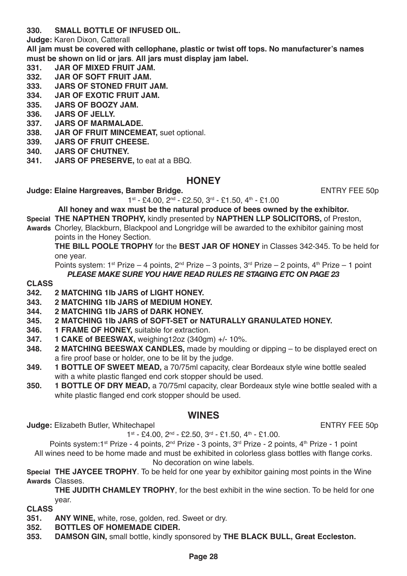**330. SMALL BOTTLE OF INFUSED OIL.**

**Judge:** Karen Dixon, Catterall

**All jam must be covered with cellophane, plastic or twist off tops. No manufacturer's names must be shown on lid or jars**. **All jars must display jam label.**

- **331. JAR OF MIXED FRUIT JAM.**
- **332. JAR OF SOFT FRUIT JAM.**
- **333. JARS OF STONED FRUIT JAM.**
- **334. JAR OF EXOTIC FRUIT JAM.**
- **335. JARS OF BOOZY JAM.**
- **336. JARS OF JELLY.**
- **337. JARS OF MARMALADE.**
- **338. JAR OF FRUIT MINCEMEAT,** suet optional.
- **339. JARS OF FRUIT CHEESE.**
- **340. JARS OF CHUTNEY.**
- **341. JARS OF PRESERVE,** to eat at a BBQ.

### **HONEY**

**Judge: Elaine Hargreaves, Bamber Bridge. ENTRY FEE 50p States ENTRY FEE 50p** 

1st - £4.00, 2nd - £2.50, 3rd - £1.50, 4th - £1.00

**All honey and wax must be the natural produce of bees owned by the exhibitor.**

**Special THE NAPTHEN TROPHY,** kindly presented by **NAPTHEN LLP SOLICITORS,** of Preston,

Awards, Chorley, Blackburn, Blackpool and Longridge will be awarded to the exhibitor gaining most points in the Honey Section.

**THE BILL POOLE TROPHY** for the **BEST JAR OF HONEY** in Classes 342-345. To be held for one year.

Points system:  $1^{st}$  Prize – 4 points,  $2^{nd}$  Prize – 3 points,  $3^{rd}$  Prize – 2 points,  $4^{th}$  Prize – 1 point *PLEASE MAKE SURE YOU HAVE READ RULES RE STAGING ETC ON PAGE 23*

# **CLASS**

- **342. 2 MATCHING 1lb JARS of LIGHT HONEY.**
- **343. 2 MATCHING 1lb JARS of MEDIUM HONEY.**
- **344. 2 MATCHING 1lb JARS of DARK HONEY.**
- **345. 2 MATCHING 1lb JARS of SOFT-SET or NATURALLY GRANULATED HONEY.**
- **346. 1 FRAME OF HONEY,** suitable for extraction.
- **347. 1 CAKE of BEESWAX,** weighing12oz (340gm) +/- 10%.
- **348. 2 MATCHING BEESWAX CANDLES,** made by moulding or dipping to be displayed erect on a fire proof base or holder, one to be lit by the judge.
- **349. 1 BOTTLE OF SWEET MEAD,** a 70/75ml capacity, clear Bordeaux style wine bottle sealed with a white plastic flanged end cork stopper should be used.
- **350. 1 BOTTLE OF DRY MEAD,** a 70/75ml capacity, clear Bordeaux style wine bottle sealed with a white plastic flanged end cork stopper should be used.

### **WINES**

**Judge:** Elizabeth Butler, Whitechapel **ENTRY FEE 50p** 

 $1^{st}$  - £4.00,  $2^{nd}$  - £2.50,  $3^{rd}$  - £1.50,  $4^{th}$  - £1.00.

Points system:1<sup>st</sup> Prize - 4 points, 2<sup>nd</sup> Prize - 3 points, 3<sup>rd</sup> Prize - 2 points, 4<sup>th</sup> Prize - 1 point

All wines need to be home made and must be exhibited in colorless glass bottles with flange corks. No decoration on wine labels.

**Special THE JAYCEE TROPHY**. To be held for one year by exhibitor gaining most points in the Wine **Awards** Classes.

**THE JUDITH CHAMLEY TROPHY**, for the best exhibit in the wine section. To be held for one year.

- **351. ANY WINE,** white, rose, golden, red. Sweet or dry.
- **352. BOTTLES OF HOMEMADE CIDER.**
- **353. DAMSON GIN,** small bottle, kindly sponsored by **THE BLACK BULL, Great Eccleston.**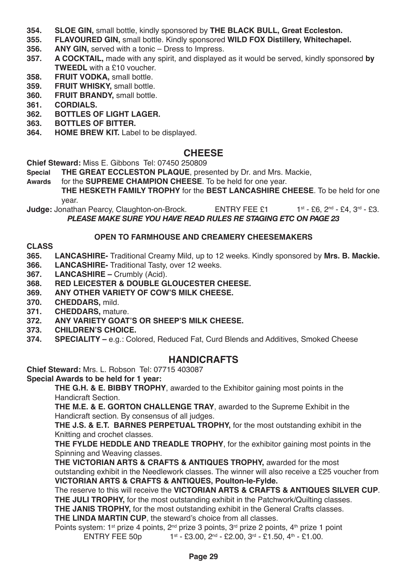- **354. SLOE GIN,** small bottle, kindly sponsored by **THE BLACK BULL, Great Eccleston.**
- **355. FLAVOURED GIN,** small bottle. Kindly sponsored **WILD FOX Distillery, Whitechapel.**
- **356. ANY GIN, served with a tonic Dress to Impress.**<br>**357. A COCKTAIL**, made with any spirit, and displayed
- **357. A COCKTAIL,** made with any spirit, and displayed as it would be served, kindly sponsored **by TWEEDL** with a £10 voucher.
- **358. FRUIT VODKA, small bottle.**<br>**359. FRUIT WHISKY, small bottle.**
- **359. FRUIT WHISKY,** small bottle.
- **360. FRUIT BRANDY,** small bottle.
- **361. CORDIALS.**
- **362. BOTTLES OF LIGHT LAGER.**
- **363. BOTTLES OF BITTER.**
- **364. HOME BREW KIT.** Label to be displayed.

### **CHEESE**

**Chief Steward:** Miss E. Gibbons Tel: 07450 250809

- **THE GREAT ECCLESTON PLAQUE**, presented by Dr. and Mrs. Mackie,
- **Awards** for the **SUPREME CHAMPION CHEESE**. To be held for one year.

**THE HESKETH FAMILY TROPHY** for the **BEST LANCASHIRE CHEESE**. To be held for one year.

**Judge:** Jonathan Pearcy, Claughton-on-Brock. ENTRY FEE £1 1st - £6, 2<sup>nd</sup> - £4, 3<sup>rd</sup> - £3. *PLEASE MAKE SURE YOU HAVE READ RULES RE STAGING ETC ON PAGE 23*

#### **OPEN TO FARMHOUSE AND CREAMERY CHEESEMAKERS**

**CLASS**

**365. LANCASHIRE-** Traditional Creamy Mild, up to 12 weeks. Kindly sponsored by **Mrs. B. Mackie.**

- **366. LANCASHIRE-** Traditional Tasty, over 12 weeks.
- **367. LANCASHIRE** Crumbly (Acid).
- **368. RED LEICESTER & DOUBLE GLOUCESTER CHEESE.**
- **369. ANY OTHER VARIETY OF COW'S MILK CHEESE.**
- 370. **CHEDDARS, mild.**<br>371. **CHEDDARS, matu**
- **371. CHEDDARS,** mature.
- **372. ANY VARIETY GOAT'S OR SHEEP'S MILK CHEESE.**
- **373. CHILDREN'S CHOICE.**
- **374. SPECIALITY** e.g.: Colored, Reduced Fat, Curd Blends and Additives, Smoked Cheese

### **HANDICRAFTS**

**Chief Steward:** Mrs. L. Robson Tel: 07715 403087

**Special Awards to be held for 1 year:**

**THE G.H. & E. BIBBY TROPHY**, awarded to the Exhibitor gaining most points in the Handicraft Section.

**THE M.E. & E. GORTON CHALLENGE TRAY**, awarded to the Supreme Exhibit in the Handicraft section. By consensus of all judges.

**THE J.S. & E.T. BARNES PERPETUAL TROPHY,** for the most outstanding exhibit in the Knitting and crochet classes.

**THE FYLDE HEDDLE AND TREADLE TROPHY**, for the exhibitor gaining most points in the Spinning and Weaving classes.

**THE VICTORIAN ARTS & CRAFTS & ANTIQUES TROPHY,** awarded for the most outstanding exhibit in the Needlework classes. The winner will also receive a £25 voucher from **VICTORIAN ARTS & CRAFTS & ANTIQUES, Poulton-le-Fylde.**

The reserve to this will receive the **VICTORIAN ARTS & CRAFTS & ANTIQUES SILVER CUP**. **THE JULI TROPHY,** for the most outstanding exhibit in the Patchwork/Quilting classes.

**THE JANIS TROPHY,** for the most outstanding exhibit in the General Crafts classes.

**THE LINDA MARTIN CUP**, the steward's choice from all classes.

Points system: 1<sup>st</sup> prize 4 points,  $2^{nd}$  prize 3 points,  $3^{rd}$  prize 2 points,  $4^{th}$  prize 1 point<br>ENTRY FEE 50p 1<sup>st</sup> - £3.00.  $2^{nd}$  - £2.00.  $3^{rd}$  - £1.50.  $4^{th}$  - £1.00. 1st - £3.00, 2<sup>nd</sup> - £2.00, 3<sup>rd</sup> - £1.50, 4<sup>th</sup> - £1.00.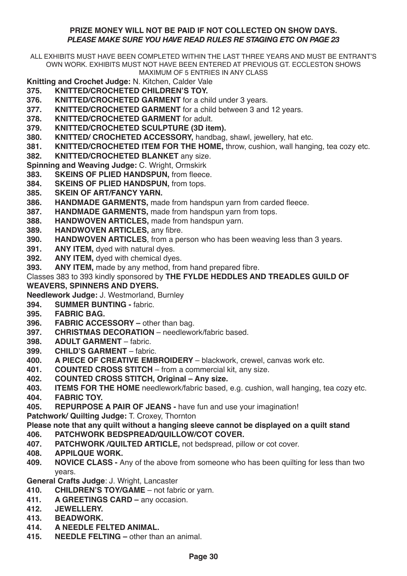#### **PRIZE MONEY WILL NOT BE PAID IF NOT COLLECTED ON SHOW DAYS.** *PLEASE MAKE SURE YOU HAVE READ RULES RE STAGING ETC ON PAGE 23*

ALL EXHIBITS MUST HAVE BEEN COMPLETED WITHIN THE LAST THREE YEARS AND MUST BE ENTRANT'S OWN WORK. EXHIBITS MUST NOT HAVE BEEN ENTERED AT PREVIOUS GT. ECCLESTON SHOWS MAXIMUM OF 5 ENTRIES IN ANY CLASS

- **Knitting and Crochet Judge:** N. Kitchen, Calder Vale **375. KNITTED/CROCHETED CHILDREN'S TOY.**
- **376. <b>KNITTED/CROCHETED GARMENT** for a child under 3 years.<br>**377. <b>KNITTED/CROCHETED GARMENT** for a child between 3 and
- **377. KNITTED/CROCHETED GARMENT** for a child between 3 and 12 years.<br>378. **KNITTED/CROCHETED GARMENT** for adult
- **378. KNITTED/CROCHETED GARMENT** for adult.

**379. KNITTED/CROCHETED SCULPTURE (3D item).**

- **380. <b>KNITTED/ CROCHETED ACCESSORY**, handbag, shawl, jewellery, hat etc.<br>**381. KNITTED/CROCHETED ITEM FOR THE HOME**, throw cushion wall hangi
- **381. KNITTED/CROCHETED ITEM FOR THE HOME,** throw, cushion, wall hanging, tea cozy etc.

**382. KNITTED/CROCHETED BLANKET** any size.

**Spinning and Weaving Judge:** C. Wright, Ormskirk

- **383. SKEINS OF PLIED HANDSPUN, from fleece.**<br>**384. SKEINS OF PLIED HANDSPUN** from tops
- **384. SKEINS OF PLIED HANDSPUN,** from tops.
- **385. SKEIN OF ART/FANCY YARN.**
- **386. <b>HANDMADE GARMENTS**, made from handspun yarn from carded fleece.<br>**387. HANDMADE GARMENTS**, made from handspun yarn from tops
- **387. <b>HANDMADE GARMENTS**, made from handspun yarn from tops.<br>**388. HANDWOVEN ARTICLES** made from handspun varn
- **388. HANDWOVEN ARTICLES,** made from handspun yarn.
- **389. HANDWOVEN ARTICLES, any fibre.**<br>**390. HANDWOVEN ARTICLES**, from a be
- **390. HANDWOVEN ARTICLES**, from a person who has been weaving less than 3 years.
- **391. ANY ITEM, dyed with natural dyes.**<br>**392. ANY ITEM.** dyed with chemical dye
- **392. ANY ITEM, dyed with chemical dyes.**<br>**393. ANY ITEM** made by any method, from
- **393. ANY ITEM,** made by any method, from hand prepared fibre.
- Classes 383 to 393 kindly sponsored by **THE FYLDE HEDDLES AND TREADLES GUILD OF**

#### **WEAVERS, SPINNERS AND DYERS.**

**Needlework Judge:** J. Westmorland, Burnley

- **394. SUMMER BUNTING** fabric.
- **395. FABRIC BAG.**
- **396. FABRIC ACCESSORY** other than bag.<br>**397. CHRISTMAS DECORATION** needlews
- **397. CHRISTMAS DECORATION**  needlework/fabric based.
- **398. ADULT GARMENT** fabric.<br>**399. CHILD'S GARMENT** fabric
- **399. CHILD'S GARMENT** fabric.<br>400 **A PIECE OF CREATIVE EMB**
- **400. A PIECE OF CREATIVE EMBROIDERY**  blackwork, crewel, canvas work etc.
- **401. COUNTED CROSS STITCH**  from a commercial kit, any size.
- **402. COUNTED CROSS STITCH, Original Any size.**
- **403. ITEMS FOR THE HOME** needlework/fabric based, e.g. cushion, wall hanging, tea cozy etc.
- **404. FABRIC TOY.**
- **405. REPURPOSE A PAIR OF JEANS** have fun and use your imagination!

**Patchwork/ Quilting Judge:** T. Croxey, Thornton

# **Please note that any quilt without a hanging sleeve cannot be displayed on a quilt stand**

# **406. PATCHWORK BEDSPREAD/QUILLOW/COT COVER.**

- **407. PATCHWORK /QUILTED ARTICLE,** not bedspread, pillow or cot cover.
- **408. APPILQUE WORK.**
- **NOVICE CLASS -** Any of the above from someone who has been quilting for less than two years.

# **General Crafts Judge: J. Wright, Lancaster**<br>410 **CHILDREN'S TOV/GAME** – not fabi

- **410. CHILDREN'S TOY/GAME**  not fabric or yarn.
- **411. A GREETINGS CARD** any occasion.
- **412. JEWELLERY.**
- **413. BEADWORK.**
- **414. A NEEDLE FELTED ANIMAL.**
- **415. NEEDLE FELTING** other than an animal.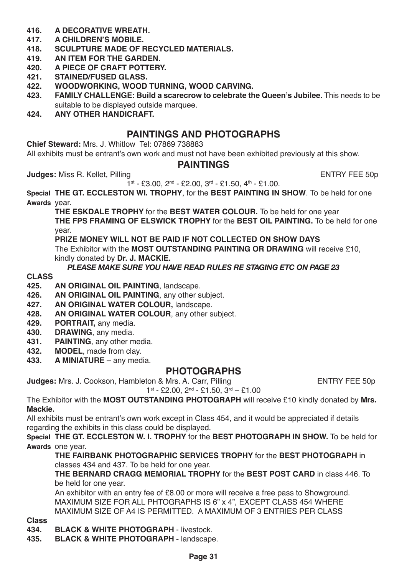- **416. A DECORATIVE WREATH.**
- **417. A CHILDREN'S MOBILE.**
- **418. SCULPTURE MADE OF RECYCLED MATERIALS.**
- **419. AN ITEM FOR THE GARDEN.**
- **420. A PIECE OF CRAFT POTTERY.**
- **421. STAINED/FUSED GLASS.**
- **422. WOODWORKING, WOOD TURNING, WOOD CARVING.**
- **423. FAMILY CHALLENGE: Build a scarecrow to celebrate the Queen's Jubilee.** This needs to be suitable to be displayed outside marquee.
- **424. ANY OTHER HANDICRAFT.**

### **PAINTINGS AND PHOTOGRAPHS**

**Chief Steward:** Mrs. J. Whitlow Tel: 07869 738883

All exhibits must be entrant's own work and must not have been exhibited previously at this show.

#### **PAINTINGS**

**Judges:** Miss R. Kellet, Pilling Entertainment and the ENTRY FEE 50p

 $1<sup>st</sup> - £3.00$ ,  $2<sup>nd</sup> - £2.00$ ,  $3<sup>rd</sup> - £1.50$ ,  $4<sup>th</sup> - £1.00$ .

**Special THE GT. ECCLESTON WI. TROPHY**, for the **BEST PAINTING IN SHOW**. To be held for one **Awards** year.

**THE ESKDALE TROPHY** for the **BEST WATER COLOUR.** To be held for one year **THE FPS FRAMING OF ELSWICK TROPHY** for the **BEST OIL PAINTING.** To be held for one year.

**PRIZE MONEY WILL NOT BE PAID IF NOT COLLECTED ON SHOW DAYS**  The Exhibitor with the **MOST OUTSTANDING PAINTING OR DRAWING** will receive £10, kindly donated by **Dr. J. MACKIE.**

#### *PLEASE MAKE SURE YOU HAVE READ RULES RE STAGING ETC ON PAGE 23*

# **CLASS**

- **425. AN ORIGINAL OIL PAINTING**, landscape.
- **426. AN ORIGINAL OIL PAINTING**, any other subject.
- **427. AN ORIGINAL WATER COLOUR,** landscape.
- **428. AN ORIGINAL WATER COLOUR**, any other subject.
- **429. PORTRAIT,** any media.
- **430. DRAWING**, any media.
- **431. PAINTING**, any other media.
- **432. MODEL**, made from clay.
- **433. A MINIATURE** any media.

#### **PHOTOGRAPHS**

**Judges:** Mrs. J. Cookson, Hambleton & Mrs. A. Carr, Pilling Fundally Results For Family PEE 50p

1st - £2.00, 2nd - £1.50, 3rd – £1.00

The Exhibitor with the **MOST OUTSTANDING PHOTOGRAPH** will receive £10 kindly donated by **Mrs. Mackie.**

All exhibits must be entrant's own work except in Class 454, and it would be appreciated if details regarding the exhibits in this class could be displayed.

**Special THE GT. ECCLESTON W. I. TROPHY** for the **BEST PHOTOGRAPH IN SHOW.** To be held for **Awards** one year.

**THE FAIRBANK PHOTOGRAPHIC SERVICES TROPHY** for the **BEST PHOTOGRAPH** in classes 434 and 437. To be held for one year.

**THE BERNARD CRAGG MEMORIAL TROPHY** for the **BEST POST CARD** in class 446. To be held for one year.

An exhibitor with an entry fee of £8.00 or more will receive a free pass to Showground. MAXIMUM SIZE FOR ALL PHTOGRAPHS IS 6" x 4", EXCEPT CLASS 454 WHERE MAXIMUM SIZE OF A4 IS PERMITTED. A MAXIMUM OF 3 ENTRIES PER CLASS

**Class**

- **434. BLACK & WHITE PHOTOGRAPH** livestock.
- **435. BLACK & WHITE PHOTOGRAPH** landscape.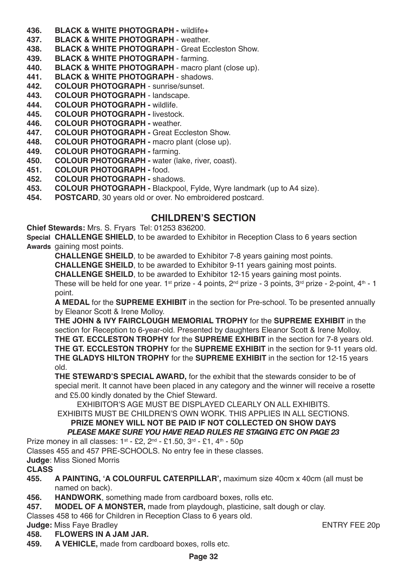- **436. BLACK & WHITE PHOTOGRAPH wildlife+**<br>**437. BLACK & WHITE PHOTOGRAPH weather**
- **437. BLACK & WHITE PHOTOGRAPH** weather.
- **438. BLACK & WHITE PHOTOGRAPH**  Great Eccleston Show.
- **439. BLACK & WHITE PHOTOGRAPH**  farming.
- **440. BLACK & WHITE PHOTOGRAPH** macro plant (close up).
- **441. BLACK & WHITE PHOTOGRAPH** shadows.
- **442. COLOUR PHOTOGRAPH**  sunrise/sunset.
- **443. COLOUR PHOTOGRAPH** landscape.
- **444. COLOUR PHOTOGRAPH** wildlife.
- **445. COLOUR PHOTOGRAPH** livestock.
- **446. COLOUR PHOTOGRAPH** weather.
- **447. COLOUR PHOTOGRAPH** Great Eccleston Show.
- **448. COLOUR PHOTOGRAPH** macro plant (close up).
- **449. COLOUR PHOTOGRAPH** farming.
- **450. COLOUR PHOTOGRAPH** water (lake, river, coast).
- **451. COLOUR PHOTOGRAPH** food.
- **452. COLOUR PHOTOGRAPH** shadows.
- **453. COLOUR PHOTOGRAPH -** Blackpool, Fylde, Wyre landmark (up to A4 size).
- **454. POSTCARD**, 30 years old or over. No embroidered postcard.

### **CHILDREN'S SECTION**

**Chief Stewards:** Mrs. S. Fryars Tel: 01253 836200.

**Special CHALLENGE SHIELD**, to be awarded to Exhibitor in Reception Class to 6 years section **Awards** gaining most points.

**CHALLENGE SHEILD**, to be awarded to Exhibitor 7-8 years gaining most points.

**CHALLENGE SHEILD**, to be awarded to Exhibitor 9-11 years gaining most points.

**CHALLENGE SHEILD**, to be awarded to Exhibitor 12-15 years gaining most points.

These will be held for one year. 1<sup>st</sup> prize - 4 points,  $2<sup>nd</sup>$  prize - 3 points,  $3<sup>rd</sup>$  prize - 2-point,  $4<sup>th</sup>$  - 1 point.

**A MEDAL** for the **SUPREME EXHIBIT** in the section for Pre-school. To be presented annually by Eleanor Scott & Irene Molloy.

**THE JOHN & IVY FAIRCLOUGH MEMORIAL TROPHY** for the **SUPREME EXHIBIT** in the section for Reception to 6-year-old. Presented by daughters Eleanor Scott & Irene Molloy. **THE GT. ECCLESTON TROPHY** for the **SUPREME EXHIBIT** in the section for 7-8 years old. **THE GT. ECCLESTON TROPHY** for the **SUPREME EXHIBIT** in the section for 9-11 years old. **THE GLADYS HILTON TROPHY** for the **SUPREME EXHIBIT** in the section for 12-15 years old.

**THE STEWARD'S SPECIAL AWARD,** for the exhibit that the stewards consider to be of special merit. It cannot have been placed in any category and the winner will receive a rosette and £5.00 kindly donated by the Chief Steward.

EXHIBITOR'S AGE MUST BE DISPLAYED CLEARLY ON ALL EXHIBITS.

EXHIBITS MUST BE CHILDREN'S OWN WORK. THIS APPLIES IN ALL SECTIONS.

#### **PRIZE MONEY WILL NOT BE PAID IF NOT COLLECTED ON SHOW DAYS** *PLEASE MAKE SURE YOU HAVE READ RULES RE STAGING ETC ON PAGE 23*

Prize money in all classes:  $1^{st}$  - £2,  $2^{nd}$  - £1.50,  $3^{rd}$  - £1,  $4^{th}$  - 50p

Classes 455 and 457 PRE-SCHOOLS. No entry fee in these classes.

**Judge**: Miss Sioned Morris

- **455. A PAINTING, 'A COLOURFUL CATERPILLAR',** maximum size 40cm x 40cm (all must be named on back).
- **456. HANDWORK**, something made from cardboard boxes, rolls etc.
- **457. MODEL OF A MONSTER,** made from playdough, plasticine, salt dough or clay.
- Classes 458 to 466 for Children in Reception Class to 6 years old.

- **Judge:** Miss Faye Bradley **ENTRY FEE 20p**<br> **ASS** ELOWERS IN A JAM JAR **458. FLOWERS IN A JAM JAR.**
- **459. A VEHICLE,** made from cardboard boxes, rolls etc.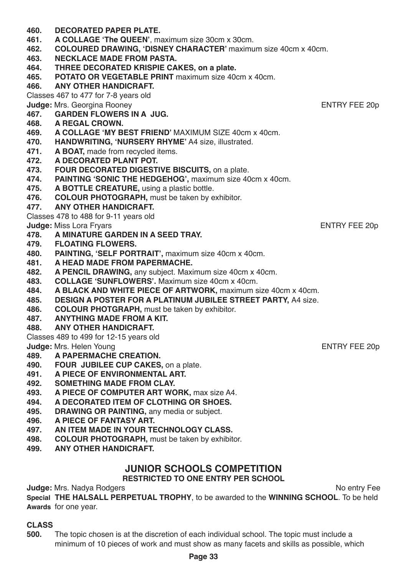**Page 33**

**Judge:** Mrs. Nadya Rodgers No entry Fee

**Special THE HALSALL PERPETUAL TROPHY**, to be awarded to the **WINNING SCHOOL**. To be held **Awards** for one year.

**JUNIOR SCHOOLS COMPETITION RESTRICTED TO ONE ENTRY PER SCHOOL**

# **CLASS**

- **491. A PIECE OF ENVIRONMENTAL ART. 492. SOMETHING MADE FROM CLAY. 493. A PIECE OF COMPUTER ART WORK,** max size A4.
- 
- 
- 
- 
- 
- 
- 
- **497. AN ITEM MADE IN YOUR TECHNOLOGY CLASS.**
- **498. COLOUR PHOTOGRAPH,** must be taken by exhibitor.
- 

**499. ANY OTHER HANDICRAFT.**

- **496. A PIECE OF FANTASY ART.**
- 
- 
- 
- 
- 
- **495. DRAWING OR PAINTING,** any media or subject.
- **494. A DECORATED ITEM OF CLOTHING OR SHOES.**
- 
- 
- 
- 
- **489. A PAPERMACHE CREATION. 490. FOUR JUBILEE CUP CAKES,** on a plate.
- **Judge:** Mrs. Helen Young Entertainment of the Control of the ENTRY FEE 20p
- **Judge:** Miss Lora Fryars **ENTRY FEE 20p**<br>**478.** A MINATURE GARDEN IN A SEED TRAY. **478. A MINATURE GARDEN IN A SEED TRAY.**
- 
- 
- 
- 
- 
- 
- 
- 
- Classes 478 to 488 for 9-11 years old

**471. A BOAT, made from recycled items.**<br>**472. A DECORATED PLANT POT 472. A DECORATED PLANT POT.**

**475. A BOTTLE CREATURE,** using a plastic bottle.

**473. FOUR DECORATED DIGESTIVE BISCUITS,** on a plate.

**461. A COLLAGE 'The QUEEN'**, maximum size 30cm x 30cm.

**465. POTATO OR VEGETABLE PRINT** maximum size 40cm x 40cm.

**469. A COLLAGE 'MY BEST FRIEND'** MAXIMUM SIZE 40cm x 40cm. **470. HANDWRITING, 'NURSERY RHYME'** A4 size, illustrated.

**474. PAINTING 'SONIC THE HEDGEHOG',** maximum size 40cm x 40cm.

**464. THREE DECORATED KRISPIE CAKES, on a plate.**

**462. COLOURED DRAWING, 'DISNEY CHARACTER'** maximum size 40cm x 40cm.

**Judge:** Mrs. Georgina Rooney **ENTRY FEE 20p**<br>167 **GARDEN FLOWERS IN A** JUG

- **477. ANY OTHER HANDICRAFT.**
- 
- 

**468. A REGAL CROWN.**

**476. COLOUR PHOTOGRAPH,** must be taken by exhibitor.

**460. DECORATED PAPER PLATE.**

**463. NECKLACE MADE FROM PASTA.**

**466. ANY OTHER HANDICRAFT.** Classes 467 to 477 for 7-8 years old

**467. GARDEN FLOWERS IN A JUG.**

- 
- 

- 
- **479. FLOATING FLOWERS.**
- 
- **480. PAINTING, 'SELF PORTRAIT',** maximum size 40cm x 40cm.
- 
- 
- 
- 
- 
- 
- 
- 
- **486. COLOUR PHOTGRAPH,** must be taken by exhibitor.
- **487. ANYTHING MADE FROM A KIT.**
- 

- **481. A HEAD MADE FROM PAPERMACHE.**
	-
- 
- **482. A PENCIL DRAWING,** any subject. Maximum size 40cm x 40cm.
- **483. COLLAGE 'SUNFLOWERS'.** Maximum size 40cm x 40cm.<br>**484. A BLACK AND WHITE PIECE OF ARTWORK** maximum s
- **484. A BLACK AND WHITE PIECE OF ARTWORK, maximum size 40cm x 40cm.**<br>**485. DESIGN A POSTER FOR A PLATINUM JUBILEE STREET PARTY** A4 size
- **485. DESIGN A POSTER FOR A PLATINUM JUBILEE STREET PARTY,** A4 size.
- 
- 
- 

**488. ANY OTHER HANDICRAFT.** Classes 489 to 499 for 12-15 years old

- 
- 
- 
-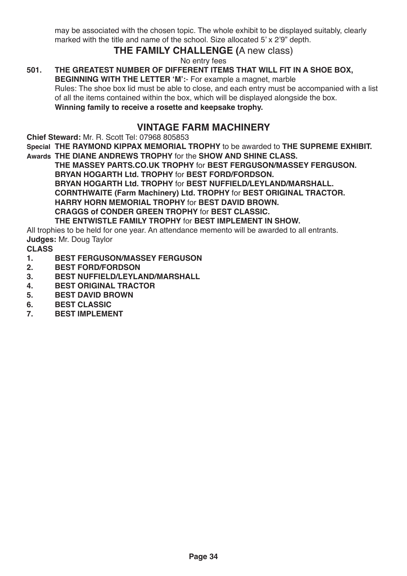may be associated with the chosen topic. The whole exhibit to be displayed suitably, clearly marked with the title and name of the school. Size allocated 5' x 2'9" depth.

### **THE FAMILY CHALLENGE (**A new class)

No entry fees

#### **501. THE GREATEST NUMBER OF DIFFERENT ITEMS THAT WILL FIT IN A SHOE BOX, BEGINNING WITH THE LETTER 'M':**- For example a magnet, marble

Rules: The shoe box lid must be able to close, and each entry must be accompanied with a list of all the items contained within the box, which will be displayed alongside the box. **Winning family to receive a rosette and keepsake trophy.**

### **VINTAGE FARM MACHINERY**

**Chief Steward:** Mr. R. Scott Tel: 07968 805853

**Special THE RAYMOND KIPPAX MEMORIAL TROPHY** to be awarded to **THE SUPREME EXHIBIT.**

**Awards THE DIANE ANDREWS TROPHY** for the **SHOW AND SHINE CLASS. THE MASSEY PARTS.CO.UK TROPHY** for **BEST FERGUSON/MASSEY FERGUSON. BRYAN HOGARTH Ltd. TROPHY** for **BEST FORD/FORDSON. BRYAN HOGARTH Ltd. TROPHY** for **BEST NUFFIELD/LEYLAND/MARSHALL. CORNTHWAITE (Farm Machinery) Ltd. TROPHY** for **BEST ORIGINAL TRACTOR. HARRY HORN MEMORIAL TROPHY** for **BEST DAVID BROWN. CRAGGS of CONDER GREEN TROPHY** for **BEST CLASSIC. THE ENTWISTLE FAMILY TROPHY** for **BEST IMPLEMENT IN SHOW.**

All trophies to be held for one year. An attendance memento will be awarded to all entrants.

**Judges:** Mr. Doug Taylor

- **1. BEST FERGUSON/MASSEY FERGUSON**
- **2. BEST FORD/FORDSON**
- **3. BEST NUFFIELD/LEYLAND/MARSHALL**
- **4. BEST ORIGINAL TRACTOR**
- **5. BEST DAVID BROWN**
- **6. BEST CLASSIC**
- **7. BEST IMPLEMENT**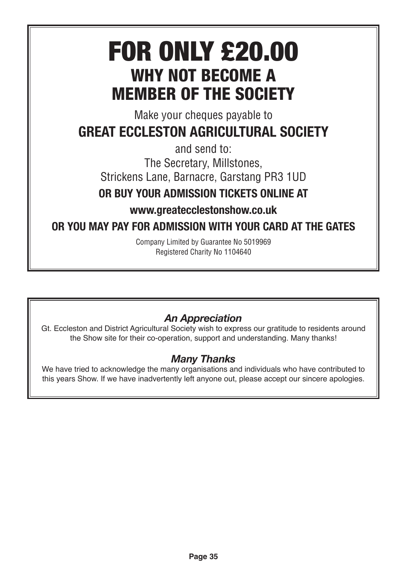# FOR ONLY £20.00 WHY NOT **BECOME** A MEMBER OF THE SOCIETY

Make your cheques payable to

# GREAT ECCLESTON AGRICULTURAL SOCIETY

and send to:

The Secretary, Millstones,

Strickens Lane, Barnacre, Garstang PR3 1UD

# OR BUY YOUR ADMISSION TICKETS ONLINE AT

www.greatecclestonshow.co.uk

# OR YOU MAY PAY FOR ADMISSION WITH YOUR CARD AT THE GATES

Company Limited by Guarantee No 5019969 Registered Charity No 1104640

# *An Appreciation*

Gt. Eccleston and District Agricultural Society wish to express our gratitude to residents around the Show site for their co-operation, support and understanding. Many thanks!

# *Many Thanks*

We have tried to acknowledge the many organisations and individuals who have contributed to this years Show. If we have inadvertently left anyone out, please accept our sincere apologies.